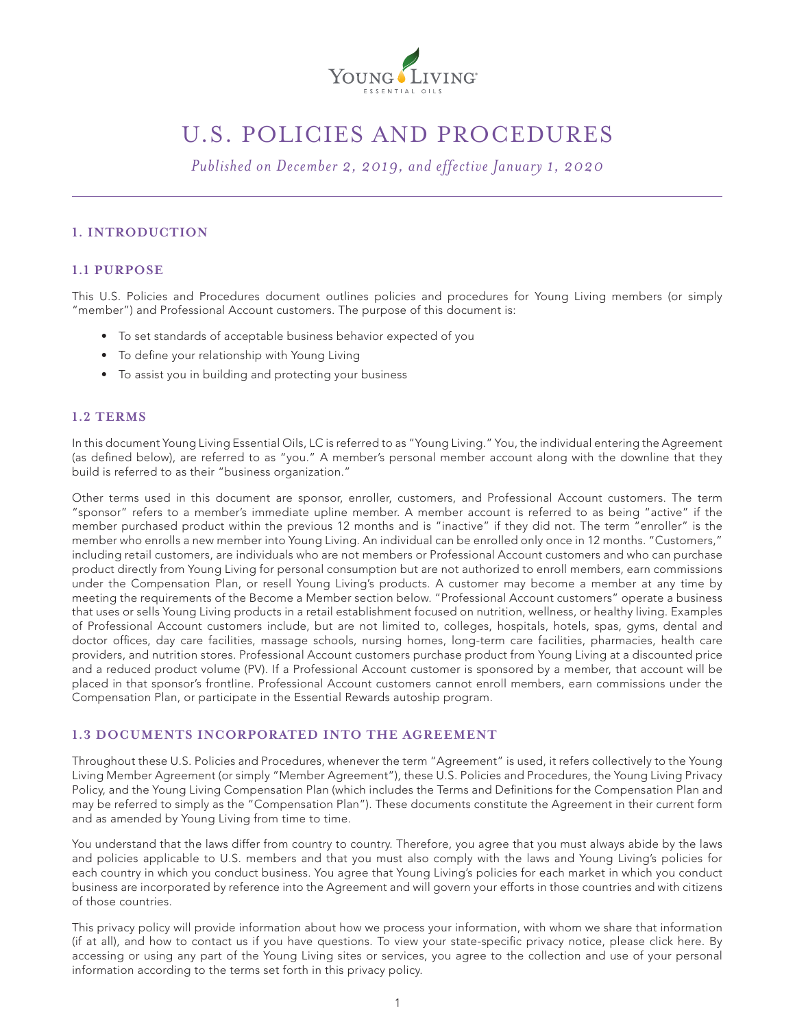

# U.S. POLICIES AND PROCEDURES

*Published on December 2, 2019, and effective January 1, 2020*

# **1. INTRODUCTION**

# **1.1 PURPOSE**

This U.S. Policies and Procedures document outlines policies and procedures for Young Living members (or simply "member") and Professional Account customers. The purpose of this document is:

- To set standards of acceptable business behavior expected of you
- To define your relationship with Young Living
- To assist you in building and protecting your business

### **1.2 TERMS**

In this document Young Living Essential Oils, LC is referred to as "Young Living." You, the individual entering the Agreement (as defined below), are referred to as "you." A member's personal member account along with the downline that they build is referred to as their "business organization."

Other terms used in this document are sponsor, enroller, customers, and Professional Account customers. The term "sponsor" refers to a member's immediate upline member. A member account is referred to as being "active" if the member purchased product within the previous 12 months and is "inactive" if they did not. The term "enroller" is the member who enrolls a new member into Young Living. An individual can be enrolled only once in 12 months. "Customers," including retail customers, are individuals who are not members or Professional Account customers and who can purchase product directly from Young Living for personal consumption but are not authorized to enroll members, earn commissions under the Compensation Plan, or resell Young Living's products. A customer may become a member at any time by meeting the requirements of the Become a Member section below. "Professional Account customers" operate a business that uses or sells Young Living products in a retail establishment focused on nutrition, wellness, or healthy living. Examples of Professional Account customers include, but are not limited to, colleges, hospitals, hotels, spas, gyms, dental and doctor offices, day care facilities, massage schools, nursing homes, long-term care facilities, pharmacies, health care providers, and nutrition stores. Professional Account customers purchase product from Young Living at a discounted price and a reduced product volume (PV). If a Professional Account customer is sponsored by a member, that account will be placed in that sponsor's frontline. Professional Account customers cannot enroll members, earn commissions under the Compensation Plan, or participate in the Essential Rewards autoship program.

## **1.3 DOCUMENTS INCORPORATED INTO THE AGREEMENT**

Throughout these U.S. Policies and Procedures, whenever the term "Agreement" is used, it refers collectively to the Young Living Member Agreement (or simply "Member Agreement"), these U.S. Policies and Procedures, the Young Living Privacy Policy, and the Young Living Compensation Plan (which includes the Terms and Definitions for the Compensation Plan and may be referred to simply as the "Compensation Plan"). These documents constitute the Agreement in their current form and as amended by Young Living from time to time.

You understand that the laws differ from country to country. Therefore, you agree that you must always abide by the laws and policies applicable to U.S. members and that you must also comply with the laws and Young Living's policies for each country in which you conduct business. You agree that Young Living's policies for each market in which you conduct business are incorporated by reference into the Agreement and will govern your efforts in those countries and with citizens of those countries.

This privacy policy will provide information about how we process your information, with whom we share that information (if at all), and how to contact us if you have questions. To view your state-specific privacy notice, please click here. By accessing or using any part of the Young Living sites or services, you agree to the collection and use of your personal information according to the terms set forth in this privacy policy.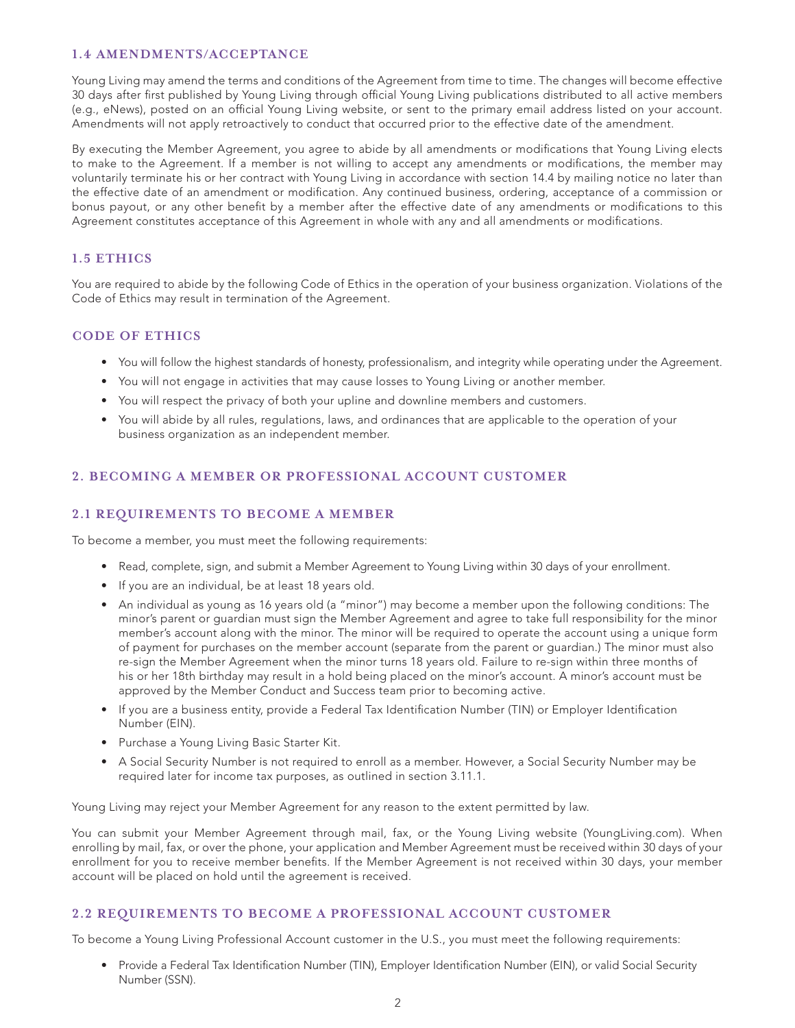# **1.4 AMENDMENTS/ACCEPTANCE**

Young Living may amend the terms and conditions of the Agreement from time to time. The changes will become effective 30 days after first published by Young Living through official Young Living publications distributed to all active members (e.g., eNews), posted on an official Young Living website, or sent to the primary email address listed on your account. Amendments will not apply retroactively to conduct that occurred prior to the effective date of the amendment.

By executing the Member Agreement, you agree to abide by all amendments or modifications that Young Living elects to make to the Agreement. If a member is not willing to accept any amendments or modifications, the member may voluntarily terminate his or her contract with Young Living in accordance with section 14.4 by mailing notice no later than the effective date of an amendment or modification. Any continued business, ordering, acceptance of a commission or bonus payout, or any other benefit by a member after the effective date of any amendments or modifications to this Agreement constitutes acceptance of this Agreement in whole with any and all amendments or modifications.

# **1.5 ETHICS**

You are required to abide by the following Code of Ethics in the operation of your business organization. Violations of the Code of Ethics may result in termination of the Agreement.

### **CODE OF ETHICS**

- You will follow the highest standards of honesty, professionalism, and integrity while operating under the Agreement.
- You will not engage in activities that may cause losses to Young Living or another member.
- You will respect the privacy of both your upline and downline members and customers.
- You will abide by all rules, regulations, laws, and ordinances that are applicable to the operation of your business organization as an independent member.

# **2. BECOMING A MEMBER OR PROFESSIONAL ACCOUNT CUSTOMER**

### **2.1 REQUIREMENTS TO BECOME A MEMBER**

To become a member, you must meet the following requirements:

- Read, complete, sign, and submit a Member Agreement to Young Living within 30 days of your enrollment.
- If you are an individual, be at least 18 years old.
- An individual as young as 16 years old (a "minor") may become a member upon the following conditions: The minor's parent or guardian must sign the Member Agreement and agree to take full responsibility for the minor member's account along with the minor. The minor will be required to operate the account using a unique form of payment for purchases on the member account (separate from the parent or guardian.) The minor must also re-sign the Member Agreement when the minor turns 18 years old. Failure to re-sign within three months of his or her 18th birthday may result in a hold being placed on the minor's account. A minor's account must be approved by the Member Conduct and Success team prior to becoming active.
- If you are a business entity, provide a Federal Tax Identification Number (TIN) or Employer Identification Number (EIN).
- Purchase a Young Living Basic Starter Kit.
- A Social Security Number is not required to enroll as a member. However, a Social Security Number may be required later for income tax purposes, as outlined in section 3.11.1.

Young Living may reject your Member Agreement for any reason to the extent permitted by law.

You can submit your Member Agreement through mail, fax, or the Young Living website (YoungLiving.com). When enrolling by mail, fax, or over the phone, your application and Member Agreement must be received within 30 days of your enrollment for you to receive member benefits. If the Member Agreement is not received within 30 days, your member account will be placed on hold until the agreement is received.

## **2.2 REQUIREMENTS TO BECOME A PROFESSIONAL ACCOUNT CUSTOMER**

To become a Young Living Professional Account customer in the U.S., you must meet the following requirements:

• Provide a Federal Tax Identification Number (TIN), Employer Identification Number (EIN), or valid Social Security Number (SSN).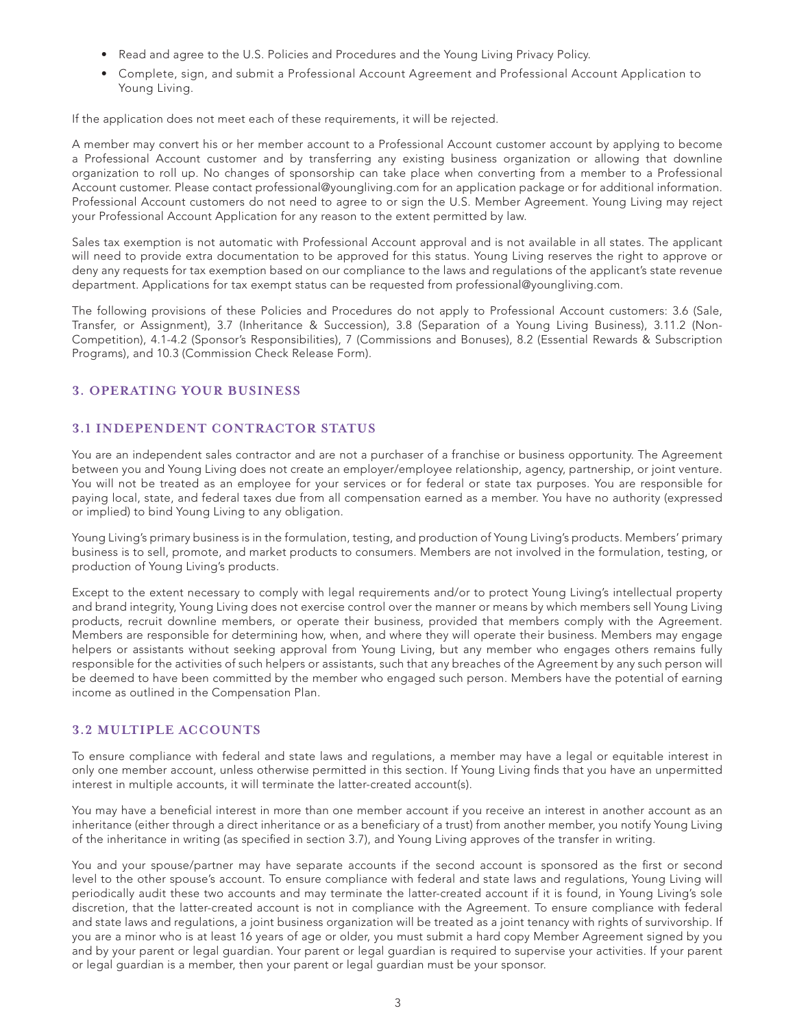- Read and agree to the U.S. Policies and Procedures and the Young Living Privacy Policy.
- Complete, sign, and submit a Professional Account Agreement and Professional Account Application to Young Living.

If the application does not meet each of these requirements, it will be rejected.

A member may convert his or her member account to a Professional Account customer account by applying to become a Professional Account customer and by transferring any existing business organization or allowing that downline organization to roll up. No changes of sponsorship can take place when converting from a member to a Professional Account customer. Please contact professional@youngliving.com for an application package or for additional information. Professional Account customers do not need to agree to or sign the U.S. Member Agreement. Young Living may reject your Professional Account Application for any reason to the extent permitted by law.

Sales tax exemption is not automatic with Professional Account approval and is not available in all states. The applicant will need to provide extra documentation to be approved for this status. Young Living reserves the right to approve or deny any requests for tax exemption based on our compliance to the laws and regulations of the applicant's state revenue department. Applications for tax exempt status can be requested from professional@youngliving.com.

The following provisions of these Policies and Procedures do not apply to Professional Account customers: 3.6 (Sale, Transfer, or Assignment), 3.7 (Inheritance & Succession), 3.8 (Separation of a Young Living Business), 3.11.2 (Non-Competition), 4.1-4.2 (Sponsor's Responsibilities), 7 (Commissions and Bonuses), 8.2 (Essential Rewards & Subscription Programs), and 10.3 (Commission Check Release Form).

### **3. OPERATING YOUR BUSINESS**

# **3.1 INDEPENDENT CONTRACTOR STATUS**

You are an independent sales contractor and are not a purchaser of a franchise or business opportunity. The Agreement between you and Young Living does not create an employer/employee relationship, agency, partnership, or joint venture. You will not be treated as an employee for your services or for federal or state tax purposes. You are responsible for paying local, state, and federal taxes due from all compensation earned as a member. You have no authority (expressed or implied) to bind Young Living to any obligation.

Young Living's primary business is in the formulation, testing, and production of Young Living's products. Members' primary business is to sell, promote, and market products to consumers. Members are not involved in the formulation, testing, or production of Young Living's products.

Except to the extent necessary to comply with legal requirements and/or to protect Young Living's intellectual property and brand integrity, Young Living does not exercise control over the manner or means by which members sell Young Living products, recruit downline members, or operate their business, provided that members comply with the Agreement. Members are responsible for determining how, when, and where they will operate their business. Members may engage helpers or assistants without seeking approval from Young Living, but any member who engages others remains fully responsible for the activities of such helpers or assistants, such that any breaches of the Agreement by any such person will be deemed to have been committed by the member who engaged such person. Members have the potential of earning income as outlined in the Compensation Plan.

### **3.2 MULTIPLE ACCOUNTS**

To ensure compliance with federal and state laws and regulations, a member may have a legal or equitable interest in only one member account, unless otherwise permitted in this section. If Young Living finds that you have an unpermitted interest in multiple accounts, it will terminate the latter-created account(s).

You may have a beneficial interest in more than one member account if you receive an interest in another account as an inheritance (either through a direct inheritance or as a beneficiary of a trust) from another member, you notify Young Living of the inheritance in writing (as specified in section 3.7), and Young Living approves of the transfer in writing.

You and your spouse/partner may have separate accounts if the second account is sponsored as the first or second level to the other spouse's account. To ensure compliance with federal and state laws and regulations, Young Living will periodically audit these two accounts and may terminate the latter-created account if it is found, in Young Living's sole discretion, that the latter-created account is not in compliance with the Agreement. To ensure compliance with federal and state laws and regulations, a joint business organization will be treated as a joint tenancy with rights of survivorship. If you are a minor who is at least 16 years of age or older, you must submit a hard copy Member Agreement signed by you and by your parent or legal guardian. Your parent or legal guardian is required to supervise your activities. If your parent or legal guardian is a member, then your parent or legal guardian must be your sponsor.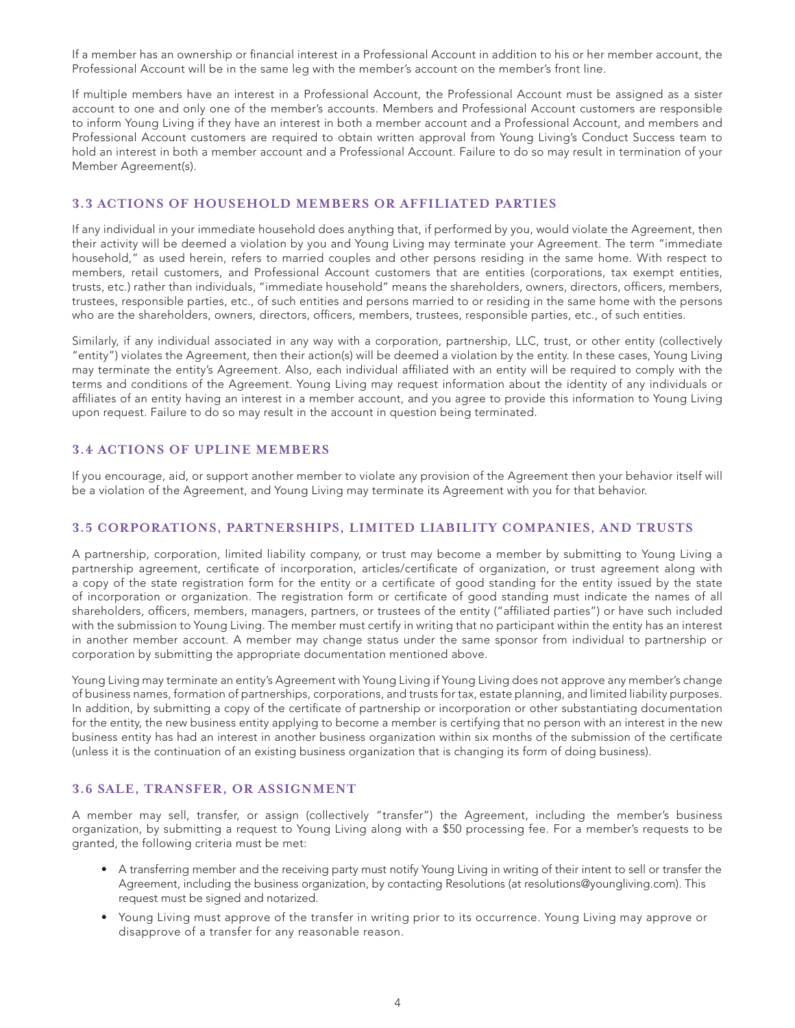If a member has an ownership or financial interest in a Professional Account in addition to his or her member account, the Professional Account will be in the same leg with the member's account on the member's front line.

If multiple members have an interest in a Professional Account, the Professional Account must be assigned as a sister account to one and only one of the member's accounts. Members and Professional Account customers are responsible to inform Young Living if they have an interest in both a member account and a Professional Account, and members and Professional Account customers are required to obtain written approval from Young Living's Conduct Success team to hold an interest in both a member account and a Professional Account. Failure to do so may result in termination of your Member Agreement(s).

## **3.3 ACTIONS OF HOUSEHOLD MEMBERS OR AFFILIATED PARTIES**

If any individual in your immediate household does anything that, if performed by you, would violate the Agreement, then their activity will be deemed a violation by you and Young Living may terminate your Agreement. The term "immediate household," as used herein, refers to married couples and other persons residing in the same home. With respect to members, retail customers, and Professional Account customers that are entities (corporations, tax exempt entities, trusts, etc.) rather than individuals, "immediate household" means the shareholders, owners, directors, officers, members, trustees, responsible parties, etc., of such entities and persons married to or residing in the same home with the persons who are the shareholders, owners, directors, officers, members, trustees, responsible parties, etc., of such entities.

Similarly, if any individual associated in any way with a corporation, partnership, LLC, trust, or other entity (collectively "entity") violates the Agreement, then their action(s) will be deemed a violation by the entity. In these cases, Young Living may terminate the entity's Agreement. Also, each individual affiliated with an entity will be required to comply with the terms and conditions of the Agreement. Young Living may request information about the identity of any individuals or affiliates of an entity having an interest in a member account, and you agree to provide this information to Young Living upon request. Failure to do so may result in the account in question being terminated.

# **3.4 ACTIONS OF UPLINE MEMBERS**

If you encourage, aid, or support another member to violate any provision of the Agreement then your behavior itself will be a violation of the Agreement, and Young Living may terminate its Agreement with you for that behavior.

# **3.5 CORPORATIONS, PARTNERSHIPS, LIMITED LIABILITY COMPANIES, AND TRUSTS**

A partnership, corporation, limited liability company, or trust may become a member by submitting to Young Living a partnership agreement, certificate of incorporation, articles/certificate of organization, or trust agreement along with a copy of the state registration form for the entity or a certificate of good standing for the entity issued by the state of incorporation or organization. The registration form or certificate of good standing must indicate the names of all shareholders, officers, members, managers, partners, or trustees of the entity ("affiliated parties") or have such included with the submission to Young Living. The member must certify in writing that no participant within the entity has an interest in another member account. A member may change status under the same sponsor from individual to partnership or corporation by submitting the appropriate documentation mentioned above.

Young Living may terminate an entity's Agreement with Young Living if Young Living does not approve any member's change of business names, formation of partnerships, corporations, and trusts for tax, estate planning, and limited liability purposes. In addition, by submitting a copy of the certificate of partnership or incorporation or other substantiating documentation for the entity, the new business entity applying to become a member is certifying that no person with an interest in the new business entity has had an interest in another business organization within six months of the submission of the certificate (unless it is the continuation of an existing business organization that is changing its form of doing business).

## **3.6 SALE, TRANSFER, OR ASSIGNMENT**

A member may sell, transfer, or assign (collectively "transfer") the Agreement, including the member's business organization, by submitting a request to Young Living along with a \$50 processing fee. For a member's requests to be granted, the following criteria must be met:

- A transferring member and the receiving party must notify Young Living in writing of their intent to sell or transfer the Agreement, including the business organization, by contacting Resolutions (at resolutions@youngliving.com). This request must be signed and notarized.
- Young Living must approve of the transfer in writing prior to its occurrence. Young Living may approve or disapprove of a transfer for any reasonable reason.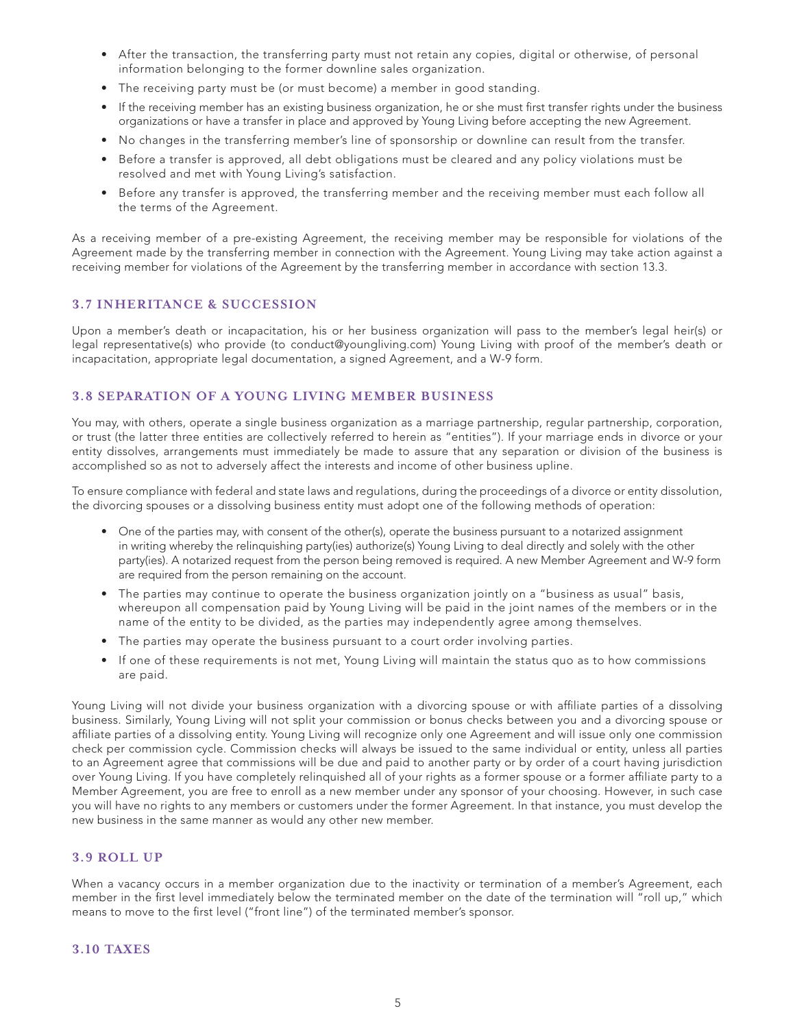- After the transaction, the transferring party must not retain any copies, digital or otherwise, of personal information belonging to the former downline sales organization.
- The receiving party must be (or must become) a member in good standing.
- If the receiving member has an existing business organization, he or she must first transfer rights under the business organizations or have a transfer in place and approved by Young Living before accepting the new Agreement.
- No changes in the transferring member's line of sponsorship or downline can result from the transfer.
- Before a transfer is approved, all debt obligations must be cleared and any policy violations must be resolved and met with Young Living's satisfaction.
- Before any transfer is approved, the transferring member and the receiving member must each follow all the terms of the Agreement.

As a receiving member of a pre-existing Agreement, the receiving member may be responsible for violations of the Agreement made by the transferring member in connection with the Agreement. Young Living may take action against a receiving member for violations of the Agreement by the transferring member in accordance with section 13.3.

### **3.7 INHERITANCE & SUCCESSION**

Upon a member's death or incapacitation, his or her business organization will pass to the member's legal heir(s) or legal representative(s) who provide (to conduct@youngliving.com) Young Living with proof of the member's death or incapacitation, appropriate legal documentation, a signed Agreement, and a W-9 form.

# **3.8 SEPARATION OF A YOUNG LIVING MEMBER BUSINESS**

You may, with others, operate a single business organization as a marriage partnership, regular partnership, corporation, or trust (the latter three entities are collectively referred to herein as "entities"). If your marriage ends in divorce or your entity dissolves, arrangements must immediately be made to assure that any separation or division of the business is accomplished so as not to adversely affect the interests and income of other business upline.

To ensure compliance with federal and state laws and regulations, during the proceedings of a divorce or entity dissolution, the divorcing spouses or a dissolving business entity must adopt one of the following methods of operation:

- One of the parties may, with consent of the other(s), operate the business pursuant to a notarized assignment in writing whereby the relinquishing party(ies) authorize(s) Young Living to deal directly and solely with the other party(ies). A notarized request from the person being removed is required. A new Member Agreement and W-9 form are required from the person remaining on the account.
- The parties may continue to operate the business organization jointly on a "business as usual" basis, whereupon all compensation paid by Young Living will be paid in the joint names of the members or in the name of the entity to be divided, as the parties may independently agree among themselves.
- The parties may operate the business pursuant to a court order involving parties.
- If one of these requirements is not met, Young Living will maintain the status quo as to how commissions are paid.

Young Living will not divide your business organization with a divorcing spouse or with affiliate parties of a dissolving business. Similarly, Young Living will not split your commission or bonus checks between you and a divorcing spouse or affiliate parties of a dissolving entity. Young Living will recognize only one Agreement and will issue only one commission check per commission cycle. Commission checks will always be issued to the same individual or entity, unless all parties to an Agreement agree that commissions will be due and paid to another party or by order of a court having jurisdiction over Young Living. If you have completely relinquished all of your rights as a former spouse or a former affiliate party to a Member Agreement, you are free to enroll as a new member under any sponsor of your choosing. However, in such case you will have no rights to any members or customers under the former Agreement. In that instance, you must develop the new business in the same manner as would any other new member.

# **3.9 ROLL UP**

When a vacancy occurs in a member organization due to the inactivity or termination of a member's Agreement, each member in the first level immediately below the terminated member on the date of the termination will "roll up," which means to move to the first level ("front line") of the terminated member's sponsor.

### **3.10 TAXES**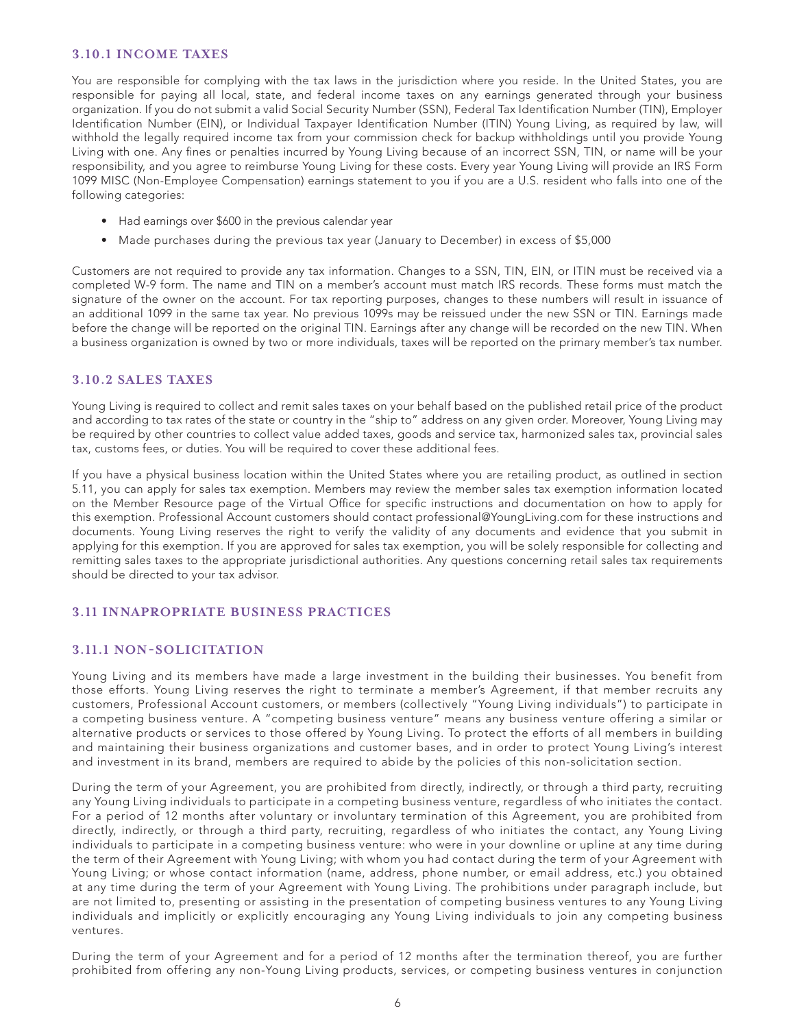## **3.10.1 INCOME TAXES**

You are responsible for complying with the tax laws in the jurisdiction where you reside. In the United States, you are responsible for paying all local, state, and federal income taxes on any earnings generated through your business organization. If you do not submit a valid Social Security Number (SSN), Federal Tax Identification Number (TIN), Employer Identification Number (EIN), or Individual Taxpayer Identification Number (ITIN) Young Living, as required by law, will withhold the legally required income tax from your commission check for backup withholdings until you provide Young Living with one. Any fines or penalties incurred by Young Living because of an incorrect SSN, TIN, or name will be your responsibility, and you agree to reimburse Young Living for these costs. Every year Young Living will provide an IRS Form 1099 MISC (Non-Employee Compensation) earnings statement to you if you are a U.S. resident who falls into one of the following categories:

- Had earnings over \$600 in the previous calendar year
- Made purchases during the previous tax year (January to December) in excess of \$5,000

Customers are not required to provide any tax information. Changes to a SSN, TIN, EIN, or ITIN must be received via a completed W-9 form. The name and TIN on a member's account must match IRS records. These forms must match the signature of the owner on the account. For tax reporting purposes, changes to these numbers will result in issuance of an additional 1099 in the same tax year. No previous 1099s may be reissued under the new SSN or TIN. Earnings made before the change will be reported on the original TIN. Earnings after any change will be recorded on the new TIN. When a business organization is owned by two or more individuals, taxes will be reported on the primary member's tax number.

### **3.10.2 SALES TAXES**

Young Living is required to collect and remit sales taxes on your behalf based on the published retail price of the product and according to tax rates of the state or country in the "ship to" address on any given order. Moreover, Young Living may be required by other countries to collect value added taxes, goods and service tax, harmonized sales tax, provincial sales tax, customs fees, or duties. You will be required to cover these additional fees.

If you have a physical business location within the United States where you are retailing product, as outlined in section 5.11, you can apply for sales tax exemption. Members may review the member sales tax exemption information located on the Member Resource page of the Virtual Office for specific instructions and documentation on how to apply for this exemption. Professional Account customers should contact professional@YoungLiving.com for these instructions and documents. Young Living reserves the right to verify the validity of any documents and evidence that you submit in applying for this exemption. If you are approved for sales tax exemption, you will be solely responsible for collecting and remitting sales taxes to the appropriate jurisdictional authorities. Any questions concerning retail sales tax requirements should be directed to your tax advisor.

# **3.11 INNAPROPRIATE BUSINESS PRACTICES**

# **3.11.1 NON-SOLICITATION**

Young Living and its members have made a large investment in the building their businesses. You benefit from those efforts. Young Living reserves the right to terminate a member's Agreement, if that member recruits any customers, Professional Account customers, or members (collectively "Young Living individuals") to participate in a competing business venture. A "competing business venture" means any business venture offering a similar or alternative products or services to those offered by Young Living. To protect the efforts of all members in building and maintaining their business organizations and customer bases, and in order to protect Young Living's interest and investment in its brand, members are required to abide by the policies of this non-solicitation section.

During the term of your Agreement, you are prohibited from directly, indirectly, or through a third party, recruiting any Young Living individuals to participate in a competing business venture, regardless of who initiates the contact. For a period of 12 months after voluntary or involuntary termination of this Agreement, you are prohibited from directly, indirectly, or through a third party, recruiting, regardless of who initiates the contact, any Young Living individuals to participate in a competing business venture: who were in your downline or upline at any time during the term of their Agreement with Young Living; with whom you had contact during the term of your Agreement with Young Living; or whose contact information (name, address, phone number, or email address, etc.) you obtained at any time during the term of your Agreement with Young Living. The prohibitions under paragraph include, but are not limited to, presenting or assisting in the presentation of competing business ventures to any Young Living individuals and implicitly or explicitly encouraging any Young Living individuals to join any competing business ventures.

During the term of your Agreement and for a period of 12 months after the termination thereof, you are further prohibited from offering any non-Young Living products, services, or competing business ventures in conjunction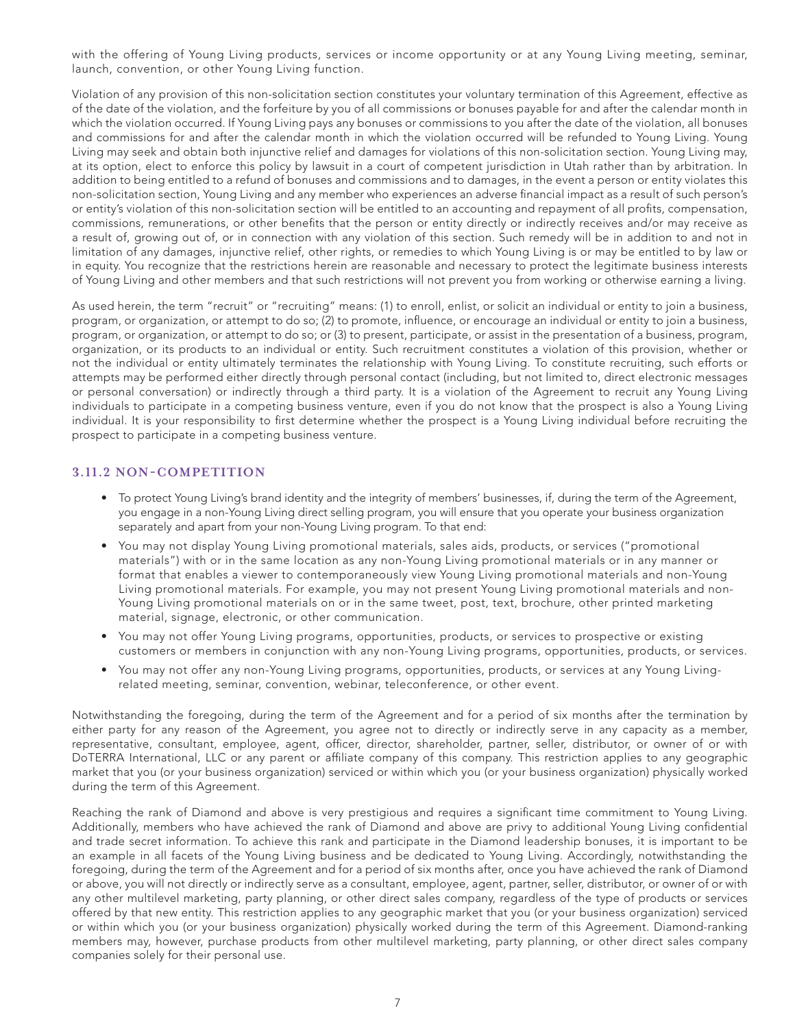with the offering of Young Living products, services or income opportunity or at any Young Living meeting, seminar, launch, convention, or other Young Living function.

Violation of any provision of this non-solicitation section constitutes your voluntary termination of this Agreement, effective as of the date of the violation, and the forfeiture by you of all commissions or bonuses payable for and after the calendar month in which the violation occurred. If Young Living pays any bonuses or commissions to you after the date of the violation, all bonuses and commissions for and after the calendar month in which the violation occurred will be refunded to Young Living. Young Living may seek and obtain both injunctive relief and damages for violations of this non-solicitation section. Young Living may, at its option, elect to enforce this policy by lawsuit in a court of competent jurisdiction in Utah rather than by arbitration. In addition to being entitled to a refund of bonuses and commissions and to damages, in the event a person or entity violates this non-solicitation section, Young Living and any member who experiences an adverse financial impact as a result of such person's or entity's violation of this non-solicitation section will be entitled to an accounting and repayment of all profits, compensation, commissions, remunerations, or other benefits that the person or entity directly or indirectly receives and/or may receive as a result of, growing out of, or in connection with any violation of this section. Such remedy will be in addition to and not in limitation of any damages, injunctive relief, other rights, or remedies to which Young Living is or may be entitled to by law or in equity. You recognize that the restrictions herein are reasonable and necessary to protect the legitimate business interests of Young Living and other members and that such restrictions will not prevent you from working or otherwise earning a living.

As used herein, the term "recruit" or "recruiting" means: (1) to enroll, enlist, or solicit an individual or entity to join a business, program, or organization, or attempt to do so; (2) to promote, influence, or encourage an individual or entity to join a business, program, or organization, or attempt to do so; or (3) to present, participate, or assist in the presentation of a business, program, organization, or its products to an individual or entity. Such recruitment constitutes a violation of this provision, whether or not the individual or entity ultimately terminates the relationship with Young Living. To constitute recruiting, such efforts or attempts may be performed either directly through personal contact (including, but not limited to, direct electronic messages or personal conversation) or indirectly through a third party. It is a violation of the Agreement to recruit any Young Living individuals to participate in a competing business venture, even if you do not know that the prospect is also a Young Living individual. It is your responsibility to first determine whether the prospect is a Young Living individual before recruiting the prospect to participate in a competing business venture.

# **3.11.2 NON-COMPETITION**

- To protect Young Living's brand identity and the integrity of members' businesses, if, during the term of the Agreement, you engage in a non-Young Living direct selling program, you will ensure that you operate your business organization separately and apart from your non-Young Living program. To that end:
- You may not display Young Living promotional materials, sales aids, products, or services ("promotional materials") with or in the same location as any non-Young Living promotional materials or in any manner or format that enables a viewer to contemporaneously view Young Living promotional materials and non-Young Living promotional materials. For example, you may not present Young Living promotional materials and non-Young Living promotional materials on or in the same tweet, post, text, brochure, other printed marketing material, signage, electronic, or other communication.
- You may not offer Young Living programs, opportunities, products, or services to prospective or existing customers or members in conjunction with any non-Young Living programs, opportunities, products, or services.
- You may not offer any non-Young Living programs, opportunities, products, or services at any Young Livingrelated meeting, seminar, convention, webinar, teleconference, or other event.

Notwithstanding the foregoing, during the term of the Agreement and for a period of six months after the termination by either party for any reason of the Agreement, you agree not to directly or indirectly serve in any capacity as a member, representative, consultant, employee, agent, officer, director, shareholder, partner, seller, distributor, or owner of or with DoTERRA International, LLC or any parent or affiliate company of this company. This restriction applies to any geographic market that you (or your business organization) serviced or within which you (or your business organization) physically worked during the term of this Agreement.

Reaching the rank of Diamond and above is very prestigious and requires a significant time commitment to Young Living. Additionally, members who have achieved the rank of Diamond and above are privy to additional Young Living confidential and trade secret information. To achieve this rank and participate in the Diamond leadership bonuses, it is important to be an example in all facets of the Young Living business and be dedicated to Young Living. Accordingly, notwithstanding the foregoing, during the term of the Agreement and for a period of six months after, once you have achieved the rank of Diamond or above, you will not directly or indirectly serve as a consultant, employee, agent, partner, seller, distributor, or owner of or with any other multilevel marketing, party planning, or other direct sales company, regardless of the type of products or services offered by that new entity. This restriction applies to any geographic market that you (or your business organization) serviced or within which you (or your business organization) physically worked during the term of this Agreement. Diamond-ranking members may, however, purchase products from other multilevel marketing, party planning, or other direct sales company companies solely for their personal use.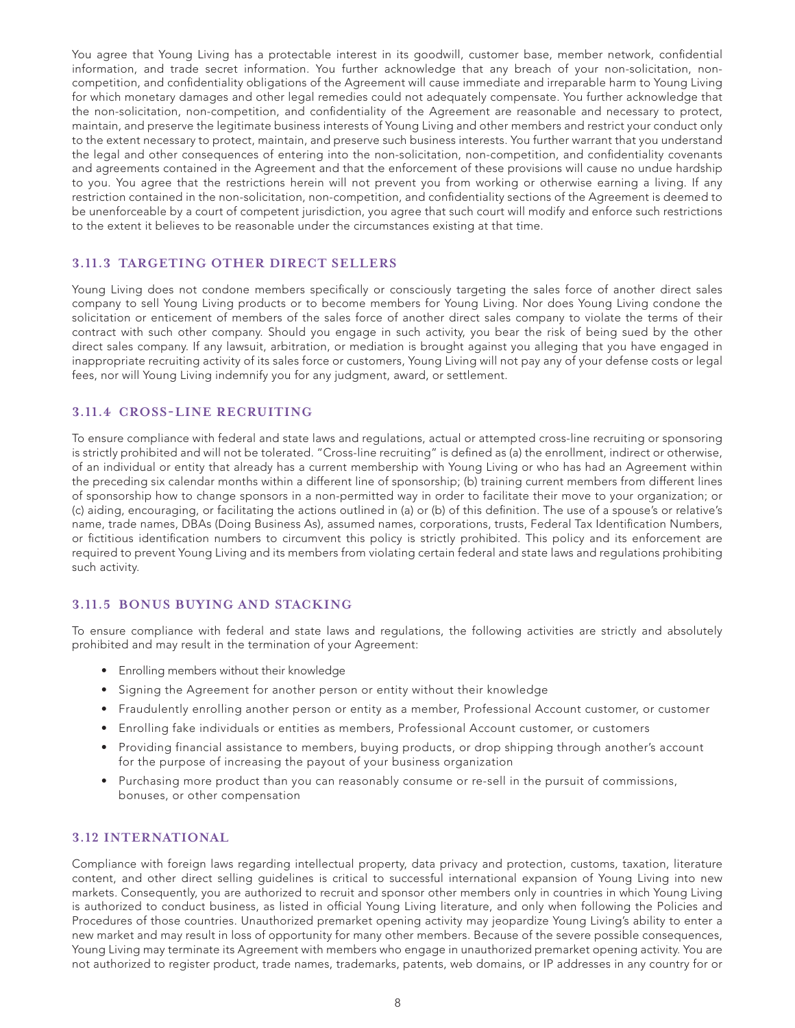You agree that Young Living has a protectable interest in its goodwill, customer base, member network, confidential information, and trade secret information. You further acknowledge that any breach of your non-solicitation, noncompetition, and confidentiality obligations of the Agreement will cause immediate and irreparable harm to Young Living for which monetary damages and other legal remedies could not adequately compensate. You further acknowledge that the non-solicitation, non-competition, and confidentiality of the Agreement are reasonable and necessary to protect, maintain, and preserve the legitimate business interests of Young Living and other members and restrict your conduct only to the extent necessary to protect, maintain, and preserve such business interests. You further warrant that you understand the legal and other consequences of entering into the non-solicitation, non-competition, and confidentiality covenants and agreements contained in the Agreement and that the enforcement of these provisions will cause no undue hardship to you. You agree that the restrictions herein will not prevent you from working or otherwise earning a living. If any restriction contained in the non-solicitation, non-competition, and confidentiality sections of the Agreement is deemed to be unenforceable by a court of competent jurisdiction, you agree that such court will modify and enforce such restrictions to the extent it believes to be reasonable under the circumstances existing at that time.

#### **3.11.3 TARGETING OTHER DIRECT SELLERS**

Young Living does not condone members specifically or consciously targeting the sales force of another direct sales company to sell Young Living products or to become members for Young Living. Nor does Young Living condone the solicitation or enticement of members of the sales force of another direct sales company to violate the terms of their contract with such other company. Should you engage in such activity, you bear the risk of being sued by the other direct sales company. If any lawsuit, arbitration, or mediation is brought against you alleging that you have engaged in inappropriate recruiting activity of its sales force or customers, Young Living will not pay any of your defense costs or legal fees, nor will Young Living indemnify you for any judgment, award, or settlement.

#### **3.11.4 CROSS-LINE RECRUITING**

To ensure compliance with federal and state laws and regulations, actual or attempted cross-line recruiting or sponsoring is strictly prohibited and will not be tolerated. "Cross-line recruiting" is defined as (a) the enrollment, indirect or otherwise, of an individual or entity that already has a current membership with Young Living or who has had an Agreement within the preceding six calendar months within a different line of sponsorship; (b) training current members from different lines of sponsorship how to change sponsors in a non-permitted way in order to facilitate their move to your organization; or (c) aiding, encouraging, or facilitating the actions outlined in (a) or (b) of this definition. The use of a spouse's or relative's name, trade names, DBAs (Doing Business As), assumed names, corporations, trusts, Federal Tax Identification Numbers, or fictitious identification numbers to circumvent this policy is strictly prohibited. This policy and its enforcement are required to prevent Young Living and its members from violating certain federal and state laws and regulations prohibiting such activity.

### **3.11.5 BONUS BUYING AND STACKING**

To ensure compliance with federal and state laws and regulations, the following activities are strictly and absolutely prohibited and may result in the termination of your Agreement:

- Enrolling members without their knowledge
- Signing the Agreement for another person or entity without their knowledge
- Fraudulently enrolling another person or entity as a member, Professional Account customer, or customer
- Enrolling fake individuals or entities as members, Professional Account customer, or customers
- Providing financial assistance to members, buying products, or drop shipping through another's account for the purpose of increasing the payout of your business organization
- Purchasing more product than you can reasonably consume or re-sell in the pursuit of commissions, bonuses, or other compensation

# **3.12 INTERNATIONAL**

Compliance with foreign laws regarding intellectual property, data privacy and protection, customs, taxation, literature content, and other direct selling guidelines is critical to successful international expansion of Young Living into new markets. Consequently, you are authorized to recruit and sponsor other members only in countries in which Young Living is authorized to conduct business, as listed in official Young Living literature, and only when following the Policies and Procedures of those countries. Unauthorized premarket opening activity may jeopardize Young Living's ability to enter a new market and may result in loss of opportunity for many other members. Because of the severe possible consequences, Young Living may terminate its Agreement with members who engage in unauthorized premarket opening activity. You are not authorized to register product, trade names, trademarks, patents, web domains, or IP addresses in any country for or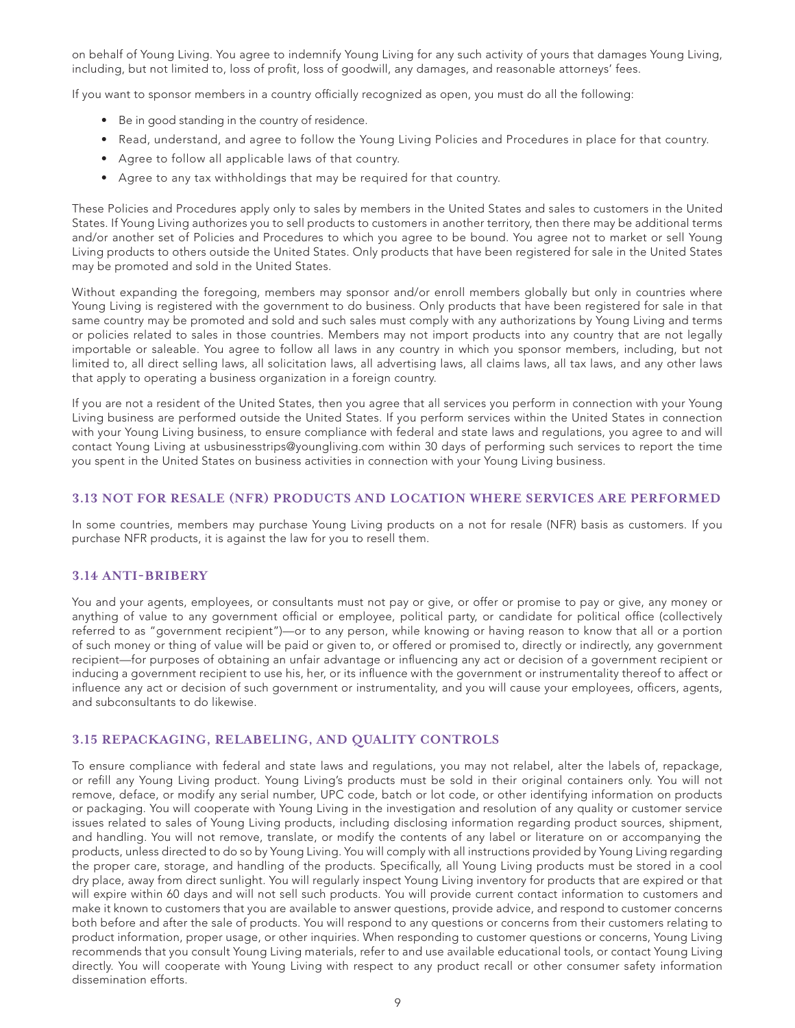on behalf of Young Living. You agree to indemnify Young Living for any such activity of yours that damages Young Living, including, but not limited to, loss of profit, loss of goodwill, any damages, and reasonable attorneys' fees.

If you want to sponsor members in a country officially recognized as open, you must do all the following:

- Be in good standing in the country of residence.
- Read, understand, and agree to follow the Young Living Policies and Procedures in place for that country.
- Agree to follow all applicable laws of that country.
- Agree to any tax withholdings that may be required for that country.

These Policies and Procedures apply only to sales by members in the United States and sales to customers in the United States. If Young Living authorizes you to sell products to customers in another territory, then there may be additional terms and/or another set of Policies and Procedures to which you agree to be bound. You agree not to market or sell Young Living products to others outside the United States. Only products that have been registered for sale in the United States may be promoted and sold in the United States.

Without expanding the foregoing, members may sponsor and/or enroll members globally but only in countries where Young Living is registered with the government to do business. Only products that have been registered for sale in that same country may be promoted and sold and such sales must comply with any authorizations by Young Living and terms or policies related to sales in those countries. Members may not import products into any country that are not legally importable or saleable. You agree to follow all laws in any country in which you sponsor members, including, but not limited to, all direct selling laws, all solicitation laws, all advertising laws, all claims laws, all tax laws, and any other laws that apply to operating a business organization in a foreign country.

If you are not a resident of the United States, then you agree that all services you perform in connection with your Young Living business are performed outside the United States. If you perform services within the United States in connection with your Young Living business, to ensure compliance with federal and state laws and regulations, you agree to and will contact Young Living at usbusinesstrips@youngliving.com within 30 days of performing such services to report the time you spent in the United States on business activities in connection with your Young Living business.

#### **3.13 NOT FOR RESALE (NFR) PRODUCTS AND LOCATION WHERE SERVICES ARE PERFORMED**

In some countries, members may purchase Young Living products on a not for resale (NFR) basis as customers. If you purchase NFR products, it is against the law for you to resell them.

### **3.14 ANTI-BRIBERY**

You and your agents, employees, or consultants must not pay or give, or offer or promise to pay or give, any money or anything of value to any government official or employee, political party, or candidate for political office (collectively referred to as "government recipient")—or to any person, while knowing or having reason to know that all or a portion of such money or thing of value will be paid or given to, or offered or promised to, directly or indirectly, any government recipient—for purposes of obtaining an unfair advantage or influencing any act or decision of a government recipient or inducing a government recipient to use his, her, or its influence with the government or instrumentality thereof to affect or influence any act or decision of such government or instrumentality, and you will cause your employees, officers, agents, and subconsultants to do likewise.

#### **3.15 REPACKAGING, RELABELING, AND QUALITY CONTROLS**

To ensure compliance with federal and state laws and regulations, you may not relabel, alter the labels of, repackage, or refill any Young Living product. Young Living's products must be sold in their original containers only. You will not remove, deface, or modify any serial number, UPC code, batch or lot code, or other identifying information on products or packaging. You will cooperate with Young Living in the investigation and resolution of any quality or customer service issues related to sales of Young Living products, including disclosing information regarding product sources, shipment, and handling. You will not remove, translate, or modify the contents of any label or literature on or accompanying the products, unless directed to do so by Young Living. You will comply with all instructions provided by Young Living regarding the proper care, storage, and handling of the products. Specifically, all Young Living products must be stored in a cool dry place, away from direct sunlight. You will regularly inspect Young Living inventory for products that are expired or that will expire within 60 days and will not sell such products. You will provide current contact information to customers and make it known to customers that you are available to answer questions, provide advice, and respond to customer concerns both before and after the sale of products. You will respond to any questions or concerns from their customers relating to product information, proper usage, or other inquiries. When responding to customer questions or concerns, Young Living recommends that you consult Young Living materials, refer to and use available educational tools, or contact Young Living directly. You will cooperate with Young Living with respect to any product recall or other consumer safety information dissemination efforts.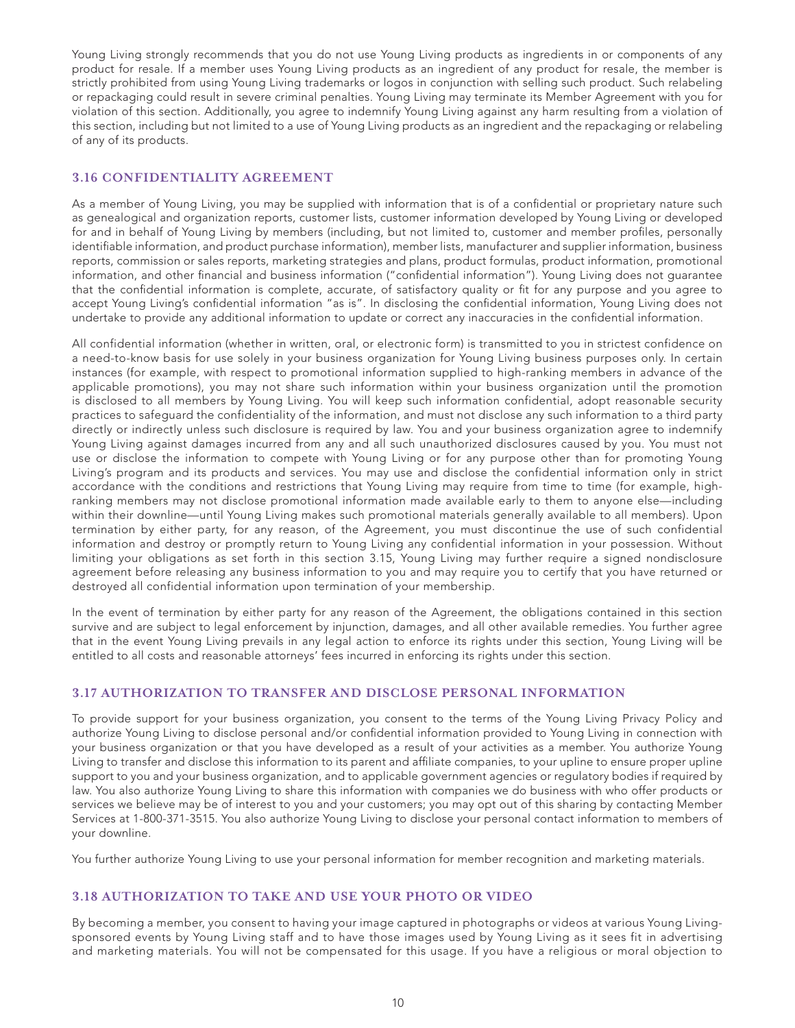Young Living strongly recommends that you do not use Young Living products as ingredients in or components of any product for resale. If a member uses Young Living products as an ingredient of any product for resale, the member is strictly prohibited from using Young Living trademarks or logos in conjunction with selling such product. Such relabeling or repackaging could result in severe criminal penalties. Young Living may terminate its Member Agreement with you for violation of this section. Additionally, you agree to indemnify Young Living against any harm resulting from a violation of this section, including but not limited to a use of Young Living products as an ingredient and the repackaging or relabeling of any of its products.

# **3.16 CONFIDENTIALITY AGREEMENT**

As a member of Young Living, you may be supplied with information that is of a confidential or proprietary nature such as genealogical and organization reports, customer lists, customer information developed by Young Living or developed for and in behalf of Young Living by members (including, but not limited to, customer and member profiles, personally identifiable information, and product purchase information), member lists, manufacturer and supplier information, business reports, commission or sales reports, marketing strategies and plans, product formulas, product information, promotional information, and other financial and business information ("confidential information"). Young Living does not guarantee that the confidential information is complete, accurate, of satisfactory quality or fit for any purpose and you agree to accept Young Living's confidential information "as is". In disclosing the confidential information, Young Living does not undertake to provide any additional information to update or correct any inaccuracies in the confidential information.

All confidential information (whether in written, oral, or electronic form) is transmitted to you in strictest confidence on a need-to-know basis for use solely in your business organization for Young Living business purposes only. In certain instances (for example, with respect to promotional information supplied to high-ranking members in advance of the applicable promotions), you may not share such information within your business organization until the promotion is disclosed to all members by Young Living. You will keep such information confidential, adopt reasonable security practices to safeguard the confidentiality of the information, and must not disclose any such information to a third party directly or indirectly unless such disclosure is required by law. You and your business organization agree to indemnify Young Living against damages incurred from any and all such unauthorized disclosures caused by you. You must not use or disclose the information to compete with Young Living or for any purpose other than for promoting Young Living's program and its products and services. You may use and disclose the confidential information only in strict accordance with the conditions and restrictions that Young Living may require from time to time (for example, highranking members may not disclose promotional information made available early to them to anyone else—including within their downline—until Young Living makes such promotional materials generally available to all members). Upon termination by either party, for any reason, of the Agreement, you must discontinue the use of such confidential information and destroy or promptly return to Young Living any confidential information in your possession. Without limiting your obligations as set forth in this section 3.15, Young Living may further require a signed nondisclosure agreement before releasing any business information to you and may require you to certify that you have returned or destroyed all confidential information upon termination of your membership.

In the event of termination by either party for any reason of the Agreement, the obligations contained in this section survive and are subject to legal enforcement by injunction, damages, and all other available remedies. You further agree that in the event Young Living prevails in any legal action to enforce its rights under this section, Young Living will be entitled to all costs and reasonable attorneys' fees incurred in enforcing its rights under this section.

# **3.17 AUTHORIZATION TO TRANSFER AND DISCLOSE PERSONAL INFORMATION**

To provide support for your business organization, you consent to the terms of the Young Living Privacy Policy and authorize Young Living to disclose personal and/or confidential information provided to Young Living in connection with your business organization or that you have developed as a result of your activities as a member. You authorize Young Living to transfer and disclose this information to its parent and affiliate companies, to your upline to ensure proper upline support to you and your business organization, and to applicable government agencies or regulatory bodies if required by law. You also authorize Young Living to share this information with companies we do business with who offer products or services we believe may be of interest to you and your customers; you may opt out of this sharing by contacting Member Services at 1-800-371-3515. You also authorize Young Living to disclose your personal contact information to members of your downline.

You further authorize Young Living to use your personal information for member recognition and marketing materials.

# **3.18 AUTHORIZATION TO TAKE AND USE YOUR PHOTO OR VIDEO**

By becoming a member, you consent to having your image captured in photographs or videos at various Young Livingsponsored events by Young Living staff and to have those images used by Young Living as it sees fit in advertising and marketing materials. You will not be compensated for this usage. If you have a religious or moral objection to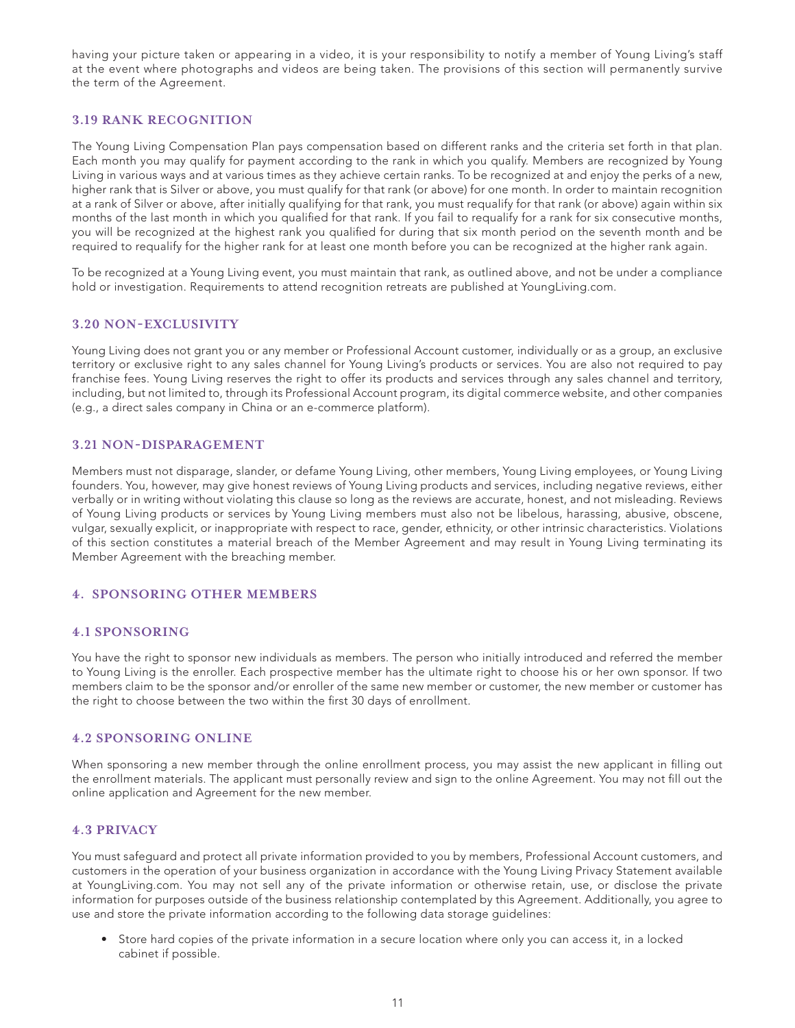having your picture taken or appearing in a video, it is your responsibility to notify a member of Young Living's staff at the event where photographs and videos are being taken. The provisions of this section will permanently survive the term of the Agreement.

# **3.19 RANK RECOGNITION**

The Young Living Compensation Plan pays compensation based on different ranks and the criteria set forth in that plan. Each month you may qualify for payment according to the rank in which you qualify. Members are recognized by Young Living in various ways and at various times as they achieve certain ranks. To be recognized at and enjoy the perks of a new, higher rank that is Silver or above, you must qualify for that rank (or above) for one month. In order to maintain recognition at a rank of Silver or above, after initially qualifying for that rank, you must requalify for that rank (or above) again within six months of the last month in which you qualified for that rank. If you fail to requalify for a rank for six consecutive months, you will be recognized at the highest rank you qualified for during that six month period on the seventh month and be required to requalify for the higher rank for at least one month before you can be recognized at the higher rank again.

To be recognized at a Young Living event, you must maintain that rank, as outlined above, and not be under a compliance hold or investigation. Requirements to attend recognition retreats are published at YoungLiving.com.

### **3.20 NON-EXCLUSIVITY**

Young Living does not grant you or any member or Professional Account customer, individually or as a group, an exclusive territory or exclusive right to any sales channel for Young Living's products or services. You are also not required to pay franchise fees. Young Living reserves the right to offer its products and services through any sales channel and territory, including, but not limited to, through its Professional Account program, its digital commerce website, and other companies (e.g., a direct sales company in China or an e-commerce platform).

#### **3.21 NON-DISPARAGEMENT**

Members must not disparage, slander, or defame Young Living, other members, Young Living employees, or Young Living founders. You, however, may give honest reviews of Young Living products and services, including negative reviews, either verbally or in writing without violating this clause so long as the reviews are accurate, honest, and not misleading. Reviews of Young Living products or services by Young Living members must also not be libelous, harassing, abusive, obscene, vulgar, sexually explicit, or inappropriate with respect to race, gender, ethnicity, or other intrinsic characteristics. Violations of this section constitutes a material breach of the Member Agreement and may result in Young Living terminating its Member Agreement with the breaching member.

### **4. SPONSORING OTHER MEMBERS**

### **4.1 SPONSORING**

You have the right to sponsor new individuals as members. The person who initially introduced and referred the member to Young Living is the enroller. Each prospective member has the ultimate right to choose his or her own sponsor. If two members claim to be the sponsor and/or enroller of the same new member or customer, the new member or customer has the right to choose between the two within the first 30 days of enrollment.

#### **4.2 SPONSORING ONLINE**

When sponsoring a new member through the online enrollment process, you may assist the new applicant in filling out the enrollment materials. The applicant must personally review and sign to the online Agreement. You may not fill out the online application and Agreement for the new member.

## **4.3 PRIVACY**

You must safeguard and protect all private information provided to you by members, Professional Account customers, and customers in the operation of your business organization in accordance with the Young Living Privacy Statement available at YoungLiving.com. You may not sell any of the private information or otherwise retain, use, or disclose the private information for purposes outside of the business relationship contemplated by this Agreement. Additionally, you agree to use and store the private information according to the following data storage guidelines:

• Store hard copies of the private information in a secure location where only you can access it, in a locked cabinet if possible.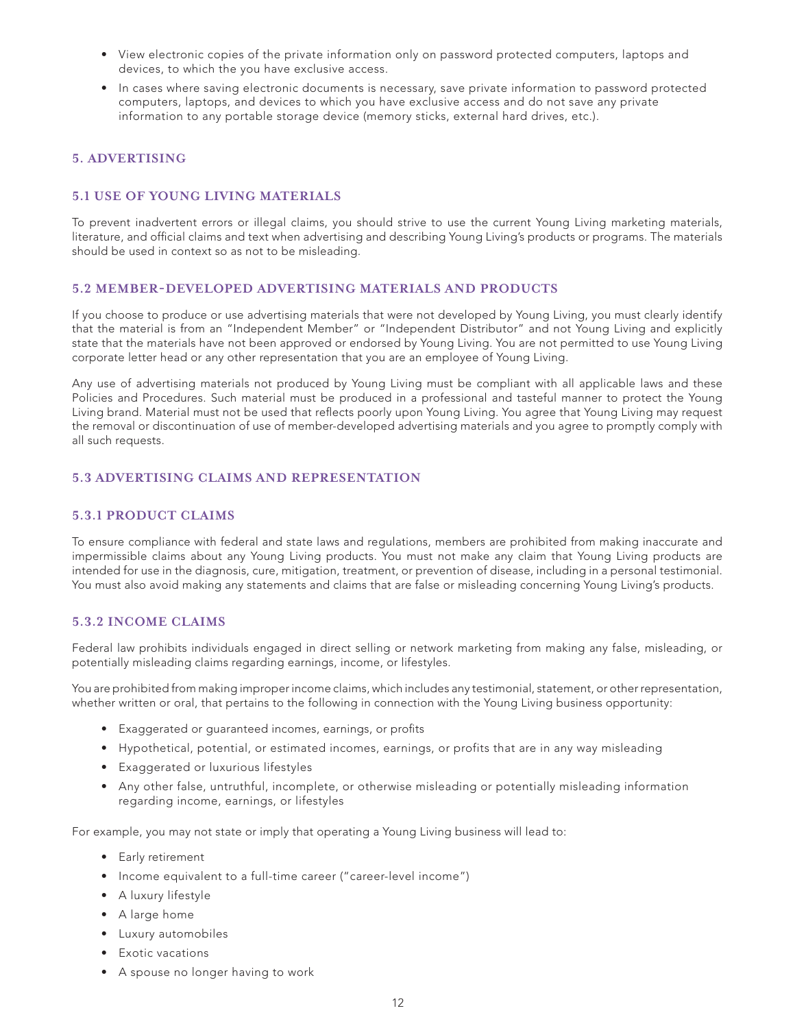- View electronic copies of the private information only on password protected computers, laptops and devices, to which the you have exclusive access.
- In cases where saving electronic documents is necessary, save private information to password protected computers, laptops, and devices to which you have exclusive access and do not save any private information to any portable storage device (memory sticks, external hard drives, etc.).

# **5. ADVERTISING**

# **5.1 USE OF YOUNG LIVING MATERIALS**

To prevent inadvertent errors or illegal claims, you should strive to use the current Young Living marketing materials, literature, and official claims and text when advertising and describing Young Living's products or programs. The materials should be used in context so as not to be misleading.

### **5.2 MEMBER-DEVELOPED ADVERTISING MATERIALS AND PRODUCTS**

If you choose to produce or use advertising materials that were not developed by Young Living, you must clearly identify that the material is from an "Independent Member" or "Independent Distributor" and not Young Living and explicitly state that the materials have not been approved or endorsed by Young Living. You are not permitted to use Young Living corporate letter head or any other representation that you are an employee of Young Living.

Any use of advertising materials not produced by Young Living must be compliant with all applicable laws and these Policies and Procedures. Such material must be produced in a professional and tasteful manner to protect the Young Living brand. Material must not be used that reflects poorly upon Young Living. You agree that Young Living may request the removal or discontinuation of use of member-developed advertising materials and you agree to promptly comply with all such requests.

### **5.3 ADVERTISING CLAIMS AND REPRESENTATION**

### **5.3.1 PRODUCT CLAIMS**

To ensure compliance with federal and state laws and regulations, members are prohibited from making inaccurate and impermissible claims about any Young Living products. You must not make any claim that Young Living products are intended for use in the diagnosis, cure, mitigation, treatment, or prevention of disease, including in a personal testimonial. You must also avoid making any statements and claims that are false or misleading concerning Young Living's products.

# **5.3.2 INCOME CLAIMS**

Federal law prohibits individuals engaged in direct selling or network marketing from making any false, misleading, or potentially misleading claims regarding earnings, income, or lifestyles.

You are prohibited from making improper income claims, which includes any testimonial, statement, or other representation, whether written or oral, that pertains to the following in connection with the Young Living business opportunity:

- Exaggerated or guaranteed incomes, earnings, or profits
- Hypothetical, potential, or estimated incomes, earnings, or profits that are in any way misleading
- Exaggerated or luxurious lifestyles
- Any other false, untruthful, incomplete, or otherwise misleading or potentially misleading information regarding income, earnings, or lifestyles

For example, you may not state or imply that operating a Young Living business will lead to:

- Early retirement
- Income equivalent to a full-time career ("career-level income")
- A luxury lifestyle
- A large home
- Luxury automobiles
- Exotic vacations
- A spouse no longer having to work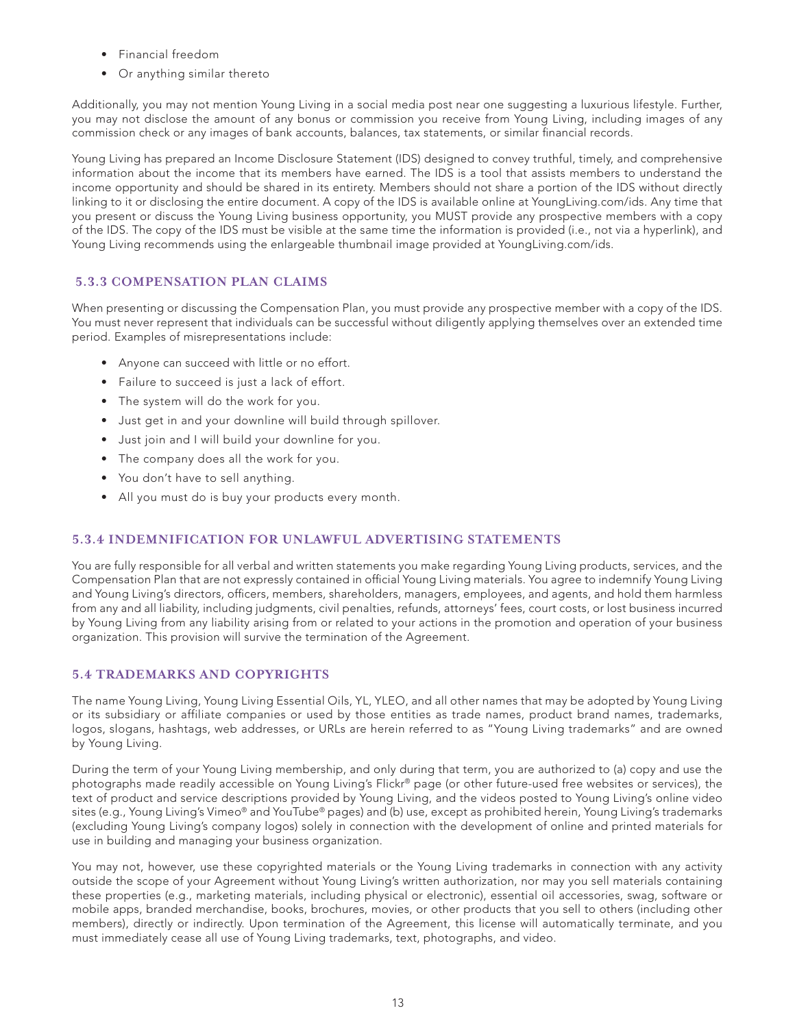- Financial freedom
- Or anything similar thereto

Additionally, you may not mention Young Living in a social media post near one suggesting a luxurious lifestyle. Further, you may not disclose the amount of any bonus or commission you receive from Young Living, including images of any commission check or any images of bank accounts, balances, tax statements, or similar financial records.

Young Living has prepared an Income Disclosure Statement (IDS) designed to convey truthful, timely, and comprehensive information about the income that its members have earned. The IDS is a tool that assists members to understand the income opportunity and should be shared in its entirety. Members should not share a portion of the IDS without directly linking to it or disclosing the entire document. A copy of the IDS is available online at YoungLiving.com/ids. Any time that you present or discuss the Young Living business opportunity, you MUST provide any prospective members with a copy of the IDS. The copy of the IDS must be visible at the same time the information is provided (i.e., not via a hyperlink), and Young Living recommends using the enlargeable thumbnail image provided at YoungLiving.com/ids.

# **5.3.3 COMPENSATION PLAN CLAIMS**

When presenting or discussing the Compensation Plan, you must provide any prospective member with a copy of the IDS. You must never represent that individuals can be successful without diligently applying themselves over an extended time period. Examples of misrepresentations include:

- Anyone can succeed with little or no effort.
- Failure to succeed is just a lack of effort.
- The system will do the work for you.
- Just get in and your downline will build through spillover.
- Just join and I will build your downline for you.
- The company does all the work for you.
- You don't have to sell anything.
- All you must do is buy your products every month.

# **5.3.4 INDEMNIFICATION FOR UNLAWFUL ADVERTISING STATEMENTS**

You are fully responsible for all verbal and written statements you make regarding Young Living products, services, and the Compensation Plan that are not expressly contained in official Young Living materials. You agree to indemnify Young Living and Young Living's directors, officers, members, shareholders, managers, employees, and agents, and hold them harmless from any and all liability, including judgments, civil penalties, refunds, attorneys' fees, court costs, or lost business incurred by Young Living from any liability arising from or related to your actions in the promotion and operation of your business organization. This provision will survive the termination of the Agreement.

# **5.4 TRADEMARKS AND COPYRIGHTS**

The name Young Living, Young Living Essential Oils, YL, YLEO, and all other names that may be adopted by Young Living or its subsidiary or affiliate companies or used by those entities as trade names, product brand names, trademarks, logos, slogans, hashtags, web addresses, or URLs are herein referred to as "Young Living trademarks" and are owned by Young Living.

During the term of your Young Living membership, and only during that term, you are authorized to (a) copy and use the photographs made readily accessible on Young Living's Flickr® page (or other future-used free websites or services), the text of product and service descriptions provided by Young Living, and the videos posted to Young Living's online video sites (e.g., Young Living's Vimeo® and YouTube® pages) and (b) use, except as prohibited herein, Young Living's trademarks (excluding Young Living's company logos) solely in connection with the development of online and printed materials for use in building and managing your business organization.

You may not, however, use these copyrighted materials or the Young Living trademarks in connection with any activity outside the scope of your Agreement without Young Living's written authorization, nor may you sell materials containing these properties (e.g., marketing materials, including physical or electronic), essential oil accessories, swag, software or mobile apps, branded merchandise, books, brochures, movies, or other products that you sell to others (including other members), directly or indirectly. Upon termination of the Agreement, this license will automatically terminate, and you must immediately cease all use of Young Living trademarks, text, photographs, and video.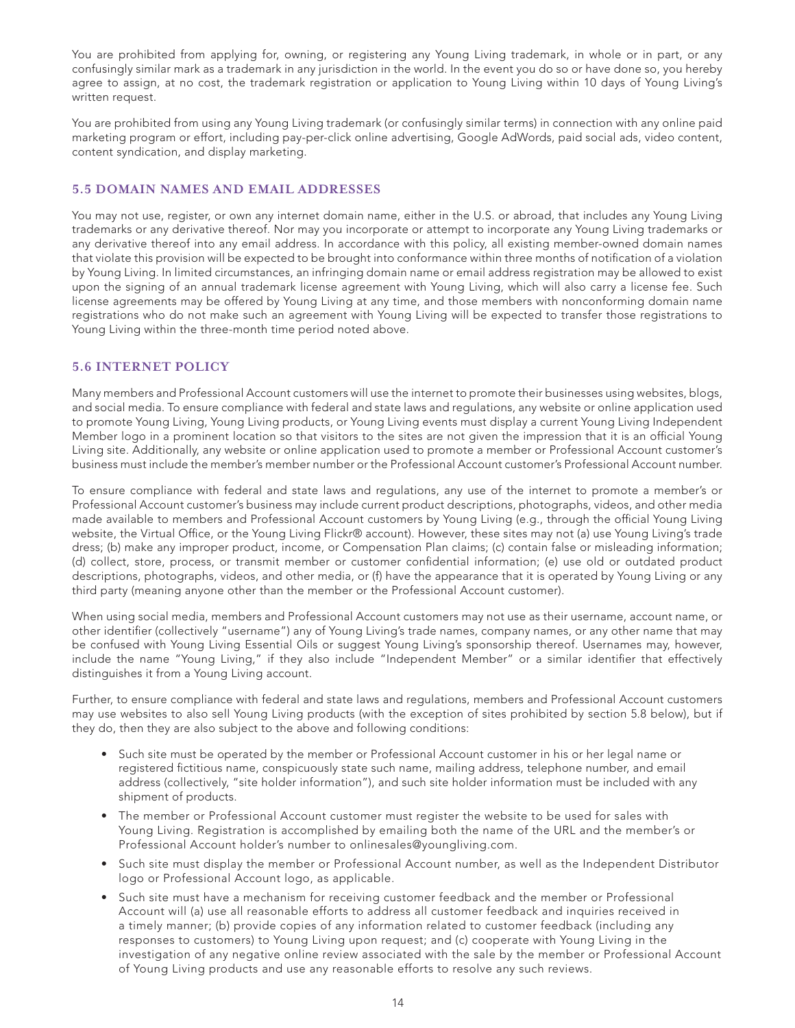You are prohibited from applying for, owning, or registering any Young Living trademark, in whole or in part, or any confusingly similar mark as a trademark in any jurisdiction in the world. In the event you do so or have done so, you hereby agree to assign, at no cost, the trademark registration or application to Young Living within 10 days of Young Living's written request.

You are prohibited from using any Young Living trademark (or confusingly similar terms) in connection with any online paid marketing program or effort, including pay-per-click online advertising, Google AdWords, paid social ads, video content, content syndication, and display marketing.

# **5.5 DOMAIN NAMES AND EMAIL ADDRESSES**

You may not use, register, or own any internet domain name, either in the U.S. or abroad, that includes any Young Living trademarks or any derivative thereof. Nor may you incorporate or attempt to incorporate any Young Living trademarks or any derivative thereof into any email address. In accordance with this policy, all existing member-owned domain names that violate this provision will be expected to be brought into conformance within three months of notification of a violation by Young Living. In limited circumstances, an infringing domain name or email address registration may be allowed to exist upon the signing of an annual trademark license agreement with Young Living, which will also carry a license fee. Such license agreements may be offered by Young Living at any time, and those members with nonconforming domain name registrations who do not make such an agreement with Young Living will be expected to transfer those registrations to Young Living within the three-month time period noted above.

### **5.6 INTERNET POLICY**

Many members and Professional Account customers will use the internet to promote their businesses using websites, blogs, and social media. To ensure compliance with federal and state laws and regulations, any website or online application used to promote Young Living, Young Living products, or Young Living events must display a current Young Living Independent Member logo in a prominent location so that visitors to the sites are not given the impression that it is an official Young Living site. Additionally, any website or online application used to promote a member or Professional Account customer's business must include the member's member number or the Professional Account customer's Professional Account number.

To ensure compliance with federal and state laws and regulations, any use of the internet to promote a member's or Professional Account customer's business may include current product descriptions, photographs, videos, and other media made available to members and Professional Account customers by Young Living (e.g., through the official Young Living website, the Virtual Office, or the Young Living Flickr® account). However, these sites may not (a) use Young Living's trade dress; (b) make any improper product, income, or Compensation Plan claims; (c) contain false or misleading information; (d) collect, store, process, or transmit member or customer confidential information; (e) use old or outdated product descriptions, photographs, videos, and other media, or (f) have the appearance that it is operated by Young Living or any third party (meaning anyone other than the member or the Professional Account customer).

When using social media, members and Professional Account customers may not use as their username, account name, or other identifier (collectively "username") any of Young Living's trade names, company names, or any other name that may be confused with Young Living Essential Oils or suggest Young Living's sponsorship thereof. Usernames may, however, include the name "Young Living," if they also include "Independent Member" or a similar identifier that effectively distinguishes it from a Young Living account.

Further, to ensure compliance with federal and state laws and regulations, members and Professional Account customers may use websites to also sell Young Living products (with the exception of sites prohibited by section 5.8 below), but if they do, then they are also subject to the above and following conditions:

- Such site must be operated by the member or Professional Account customer in his or her legal name or registered fictitious name, conspicuously state such name, mailing address, telephone number, and email address (collectively, "site holder information"), and such site holder information must be included with any shipment of products.
- The member or Professional Account customer must register the website to be used for sales with Young Living. Registration is accomplished by emailing both the name of the URL and the member's or Professional Account holder's number to onlinesales@youngliving.com.
- Such site must display the member or Professional Account number, as well as the Independent Distributor logo or Professional Account logo, as applicable.
- Such site must have a mechanism for receiving customer feedback and the member or Professional Account will (a) use all reasonable efforts to address all customer feedback and inquiries received in a timely manner; (b) provide copies of any information related to customer feedback (including any responses to customers) to Young Living upon request; and (c) cooperate with Young Living in the investigation of any negative online review associated with the sale by the member or Professional Account of Young Living products and use any reasonable efforts to resolve any such reviews.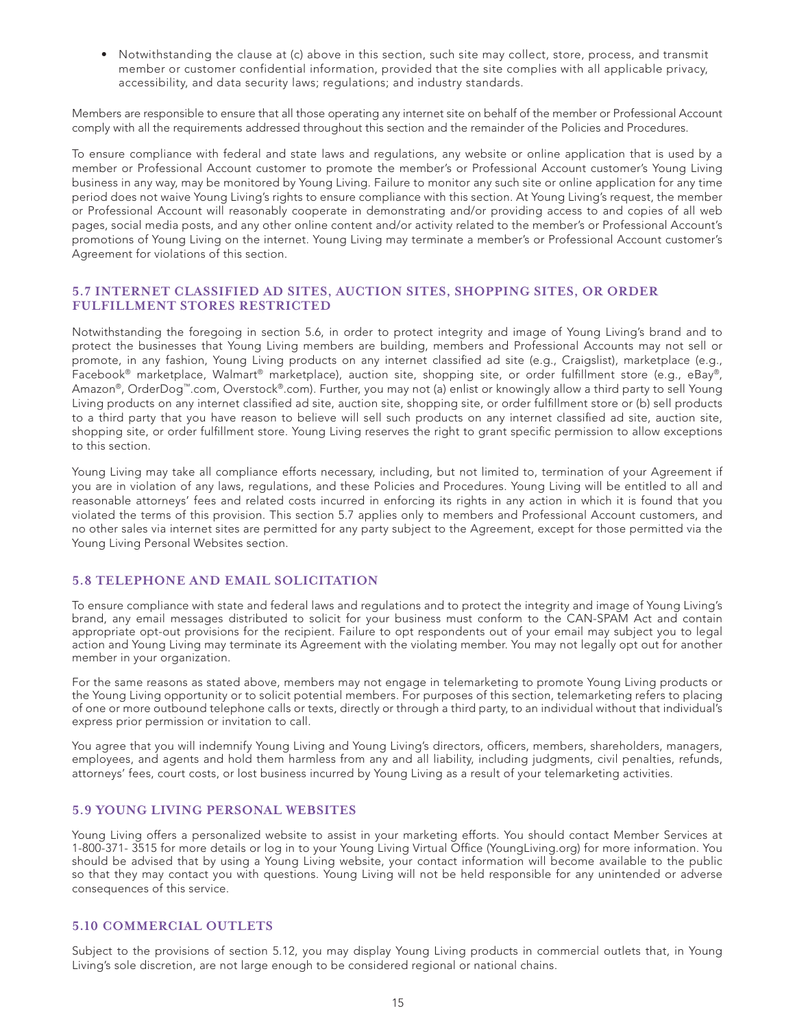• Notwithstanding the clause at (c) above in this section, such site may collect, store, process, and transmit member or customer confidential information, provided that the site complies with all applicable privacy, accessibility, and data security laws; regulations; and industry standards.

Members are responsible to ensure that all those operating any internet site on behalf of the member or Professional Account comply with all the requirements addressed throughout this section and the remainder of the Policies and Procedures.

To ensure compliance with federal and state laws and regulations, any website or online application that is used by a member or Professional Account customer to promote the member's or Professional Account customer's Young Living business in any way, may be monitored by Young Living. Failure to monitor any such site or online application for any time period does not waive Young Living's rights to ensure compliance with this section. At Young Living's request, the member or Professional Account will reasonably cooperate in demonstrating and/or providing access to and copies of all web pages, social media posts, and any other online content and/or activity related to the member's or Professional Account's promotions of Young Living on the internet. Young Living may terminate a member's or Professional Account customer's Agreement for violations of this section.

#### **5.7 INTERNET CLASSIFIED AD SITES, AUCTION SITES, SHOPPING SITES, OR ORDER FULFILLMENT STORES RESTRICTED**

Notwithstanding the foregoing in section 5.6, in order to protect integrity and image of Young Living's brand and to protect the businesses that Young Living members are building, members and Professional Accounts may not sell or promote, in any fashion, Young Living products on any internet classified ad site (e.g., Craigslist), marketplace (e.g., Facebook® marketplace, Walmart® marketplace), auction site, shopping site, or order fulfillment store (e.g., eBay®, Amazon®, OrderDog™.com, Overstock®.com). Further, you may not (a) enlist or knowingly allow a third party to sell Young Living products on any internet classified ad site, auction site, shopping site, or order fulfillment store or (b) sell products to a third party that you have reason to believe will sell such products on any internet classified ad site, auction site, shopping site, or order fulfillment store. Young Living reserves the right to grant specific permission to allow exceptions to this section.

Young Living may take all compliance efforts necessary, including, but not limited to, termination of your Agreement if you are in violation of any laws, regulations, and these Policies and Procedures. Young Living will be entitled to all and reasonable attorneys' fees and related costs incurred in enforcing its rights in any action in which it is found that you violated the terms of this provision. This section 5.7 applies only to members and Professional Account customers, and no other sales via internet sites are permitted for any party subject to the Agreement, except for those permitted via the Young Living Personal Websites section.

## **5.8 TELEPHONE AND EMAIL SOLICITATION**

To ensure compliance with state and federal laws and regulations and to protect the integrity and image of Young Living's brand, any email messages distributed to solicit for your business must conform to the CAN-SPAM Act and contain appropriate opt-out provisions for the recipient. Failure to opt respondents out of your email may subject you to legal action and Young Living may terminate its Agreement with the violating member. You may not legally opt out for another member in your organization.

For the same reasons as stated above, members may not engage in telemarketing to promote Young Living products or the Young Living opportunity or to solicit potential members. For purposes of this section, telemarketing refers to placing of one or more outbound telephone calls or texts, directly or through a third party, to an individual without that individual's express prior permission or invitation to call.

You agree that you will indemnify Young Living and Young Living's directors, officers, members, shareholders, managers, employees, and agents and hold them harmless from any and all liability, including judgments, civil penalties, refunds, attorneys' fees, court costs, or lost business incurred by Young Living as a result of your telemarketing activities.

### **5.9 YOUNG LIVING PERSONAL WEBSITES**

Young Living offers a personalized website to assist in your marketing efforts. You should contact Member Services at 1-800-371- 3515 for more details or log in to your Young Living Virtual Office (YoungLiving.org) for more information. You should be advised that by using a Young Living website, your contact information will become available to the public so that they may contact you with questions. Young Living will not be held responsible for any unintended or adverse consequences of this service.

#### **5.10 COMMERCIAL OUTLETS**

Subject to the provisions of section 5.12, you may display Young Living products in commercial outlets that, in Young Living's sole discretion, are not large enough to be considered regional or national chains.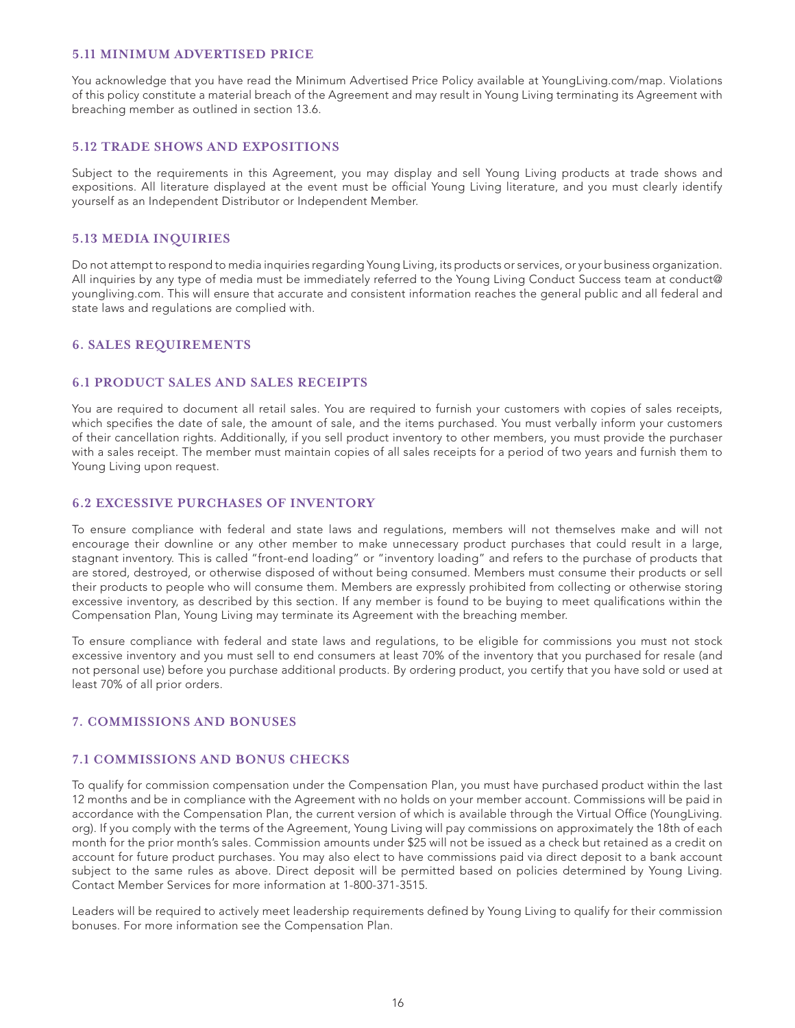#### **5.11 MINIMUM ADVERTISED PRICE**

You acknowledge that you have read the Minimum Advertised Price Policy available at YoungLiving.com/map. Violations of this policy constitute a material breach of the Agreement and may result in Young Living terminating its Agreement with breaching member as outlined in section 13.6.

# **5.12 TRADE SHOWS AND EXPOSITIONS**

Subject to the requirements in this Agreement, you may display and sell Young Living products at trade shows and expositions. All literature displayed at the event must be official Young Living literature, and you must clearly identify yourself as an Independent Distributor or Independent Member.

### **5.13 MEDIA INQUIRIES**

Do not attempt to respond to media inquiries regarding Young Living, its products or services, or your business organization. All inquiries by any type of media must be immediately referred to the Young Living Conduct Success team at conduct@ youngliving.com. This will ensure that accurate and consistent information reaches the general public and all federal and state laws and regulations are complied with.

### **6. SALES REQUIREMENTS**

#### **6.1 PRODUCT SALES AND SALES RECEIPTS**

You are required to document all retail sales. You are required to furnish your customers with copies of sales receipts, which specifies the date of sale, the amount of sale, and the items purchased. You must verbally inform your customers of their cancellation rights. Additionally, if you sell product inventory to other members, you must provide the purchaser with a sales receipt. The member must maintain copies of all sales receipts for a period of two years and furnish them to Young Living upon request.

#### **6.2 EXCESSIVE PURCHASES OF INVENTORY**

To ensure compliance with federal and state laws and regulations, members will not themselves make and will not encourage their downline or any other member to make unnecessary product purchases that could result in a large, stagnant inventory. This is called "front-end loading" or "inventory loading" and refers to the purchase of products that are stored, destroyed, or otherwise disposed of without being consumed. Members must consume their products or sell their products to people who will consume them. Members are expressly prohibited from collecting or otherwise storing excessive inventory, as described by this section. If any member is found to be buying to meet qualifications within the Compensation Plan, Young Living may terminate its Agreement with the breaching member.

To ensure compliance with federal and state laws and regulations, to be eligible for commissions you must not stock excessive inventory and you must sell to end consumers at least 70% of the inventory that you purchased for resale (and not personal use) before you purchase additional products. By ordering product, you certify that you have sold or used at least 70% of all prior orders.

#### **7. COMMISSIONS AND BONUSES**

#### **7.1 COMMISSIONS AND BONUS CHECKS**

To qualify for commission compensation under the Compensation Plan, you must have purchased product within the last 12 months and be in compliance with the Agreement with no holds on your member account. Commissions will be paid in accordance with the Compensation Plan, the current version of which is available through the Virtual Office (YoungLiving. org). If you comply with the terms of the Agreement, Young Living will pay commissions on approximately the 18th of each month for the prior month's sales. Commission amounts under \$25 will not be issued as a check but retained as a credit on account for future product purchases. You may also elect to have commissions paid via direct deposit to a bank account subject to the same rules as above. Direct deposit will be permitted based on policies determined by Young Living. Contact Member Services for more information at 1-800-371-3515.

Leaders will be required to actively meet leadership requirements defined by Young Living to qualify for their commission bonuses. For more information see the Compensation Plan.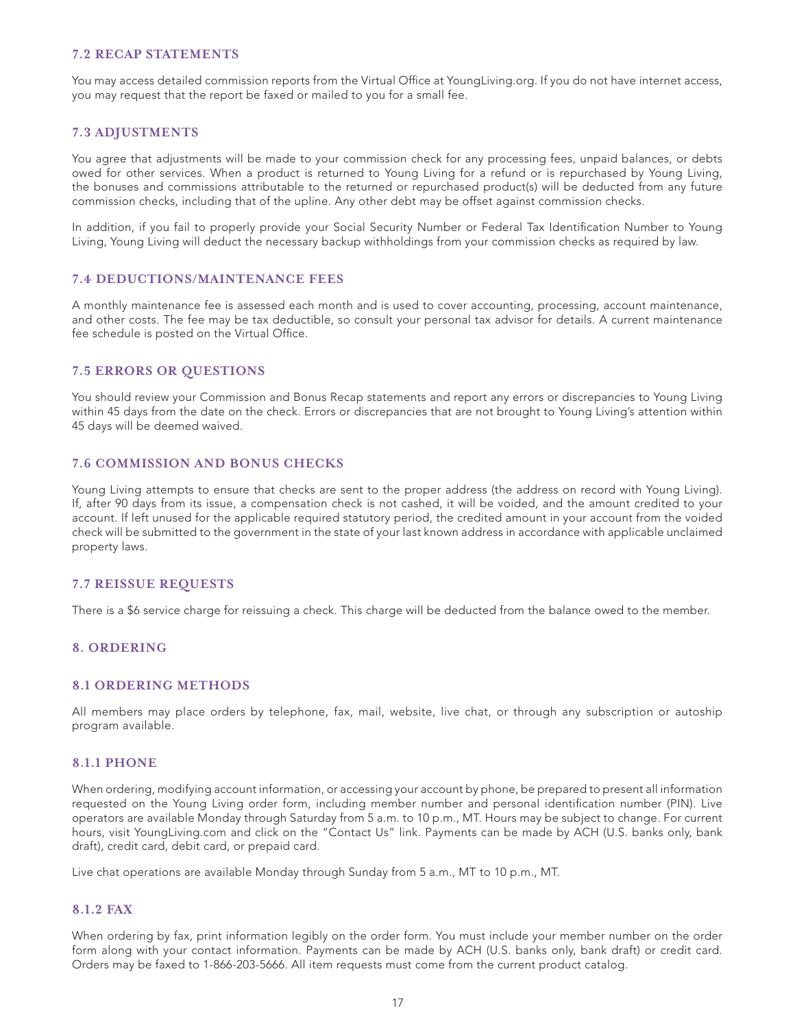# **7.2 RECAP STATEMENTS**

You may access detailed commission reports from the Virtual Office at YoungLiving.org. If you do not have internet access, you may request that the report be faxed or mailed to you for a small fee.

## **7.3 ADJUSTMENTS**

You agree that adjustments will be made to your commission check for any processing fees, unpaid balances, or debts owed for other services. When a product is returned to Young Living for a refund or is repurchased by Young Living, the bonuses and commissions attributable to the returned or repurchased product(s) will be deducted from any future commission checks, including that of the upline. Any other debt may be offset against commission checks.

In addition, if you fail to properly provide your Social Security Number or Federal Tax Identification Number to Young Living, Young Living will deduct the necessary backup withholdings from your commission checks as required by law.

## **7.4 DEDUCTIONS/MAINTENANCE FEES**

A monthly maintenance fee is assessed each month and is used to cover accounting, processing, account maintenance, and other costs. The fee may be tax deductible, so consult your personal tax advisor for details. A current maintenance fee schedule is posted on the Virtual Office.

### **7.5 ERRORS OR QUESTIONS**

You should review your Commission and Bonus Recap statements and report any errors or discrepancies to Young Living within 45 days from the date on the check. Errors or discrepancies that are not brought to Young Living's attention within 45 days will be deemed waived.

### **7.6 COMMISSION AND BONUS CHECKS**

Young Living attempts to ensure that checks are sent to the proper address (the address on record with Young Living). If, after 90 days from its issue, a compensation check is not cashed, it will be voided, and the amount credited to your account. If left unused for the applicable required statutory period, the credited amount in your account from the voided check will be submitted to the government in the state of your last known address in accordance with applicable unclaimed property laws.

### **7.7 REISSUE REQUESTS**

There is a \$6 service charge for reissuing a check. This charge will be deducted from the balance owed to the member.

#### **8. ORDERING**

#### **8.1 ORDERING METHODS**

All members may place orders by telephone, fax, mail, website, live chat, or through any subscription or autoship program available.

#### **8.1.1 PHONE**

When ordering, modifying account information, or accessing your account by phone, be prepared to present all information requested on the Young Living order form, including member number and personal identification number (PIN). Live operators are available Monday through Saturday from 5 a.m. to 10 p.m., MT. Hours may be subject to change. For current hours, visit YoungLiving.com and click on the "Contact Us" link. Payments can be made by ACH (U.S. banks only, bank draft), credit card, debit card, or prepaid card.

Live chat operations are available Monday through Sunday from 5 a.m., MT to 10 p.m., MT.

## **8.1.2 FAX**

When ordering by fax, print information legibly on the order form. You must include your member number on the order form along with your contact information. Payments can be made by ACH (U.S. banks only, bank draft) or credit card. Orders may be faxed to 1-866-203-5666. All item requests must come from the current product catalog.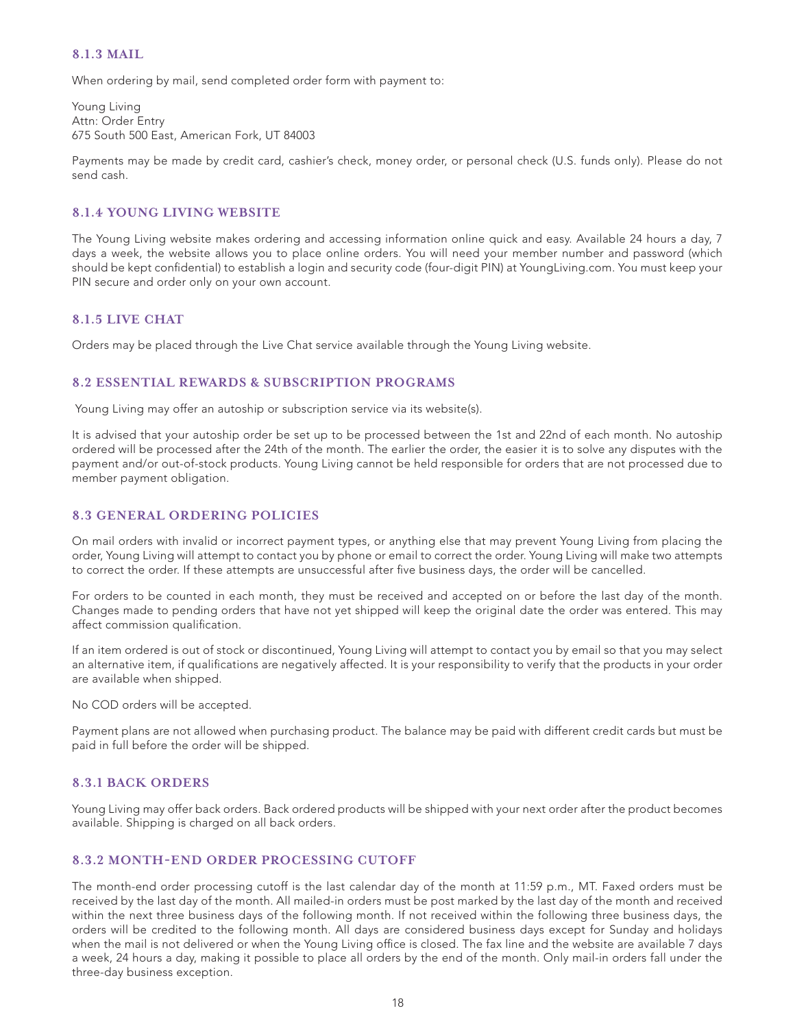## **8.1.3 MAIL**

When ordering by mail, send completed order form with payment to:

Young Living Attn: Order Entry 675 South 500 East, American Fork, UT 84003

Payments may be made by credit card, cashier's check, money order, or personal check (U.S. funds only). Please do not send cash.

## **8.1.4 YOUNG LIVING WEBSITE**

The Young Living website makes ordering and accessing information online quick and easy. Available 24 hours a day, 7 days a week, the website allows you to place online orders. You will need your member number and password (which should be kept confidential) to establish a login and security code (four-digit PIN) at YoungLiving.com. You must keep your PIN secure and order only on your own account.

### **8.1.5 LIVE CHAT**

Orders may be placed through the Live Chat service available through the Young Living website.

# **8.2 ESSENTIAL REWARDS & SUBSCRIPTION PROGRAMS**

Young Living may offer an autoship or subscription service via its website(s).

It is advised that your autoship order be set up to be processed between the 1st and 22nd of each month. No autoship ordered will be processed after the 24th of the month. The earlier the order, the easier it is to solve any disputes with the payment and/or out-of-stock products. Young Living cannot be held responsible for orders that are not processed due to member payment obligation.

## **8.3 GENERAL ORDERING POLICIES**

On mail orders with invalid or incorrect payment types, or anything else that may prevent Young Living from placing the order, Young Living will attempt to contact you by phone or email to correct the order. Young Living will make two attempts to correct the order. If these attempts are unsuccessful after five business days, the order will be cancelled.

For orders to be counted in each month, they must be received and accepted on or before the last day of the month. Changes made to pending orders that have not yet shipped will keep the original date the order was entered. This may affect commission qualification.

If an item ordered is out of stock or discontinued, Young Living will attempt to contact you by email so that you may select an alternative item, if qualifications are negatively affected. It is your responsibility to verify that the products in your order are available when shipped.

No COD orders will be accepted.

Payment plans are not allowed when purchasing product. The balance may be paid with different credit cards but must be paid in full before the order will be shipped.

### **8.3.1 BACK ORDERS**

Young Living may offer back orders. Back ordered products will be shipped with your next order after the product becomes available. Shipping is charged on all back orders.

## **8.3.2 MONTH-END ORDER PROCESSING CUTOFF**

The month-end order processing cutoff is the last calendar day of the month at 11:59 p.m., MT. Faxed orders must be received by the last day of the month. All mailed-in orders must be post marked by the last day of the month and received within the next three business days of the following month. If not received within the following three business days, the orders will be credited to the following month. All days are considered business days except for Sunday and holidays when the mail is not delivered or when the Young Living office is closed. The fax line and the website are available 7 days a week, 24 hours a day, making it possible to place all orders by the end of the month. Only mail-in orders fall under the three-day business exception.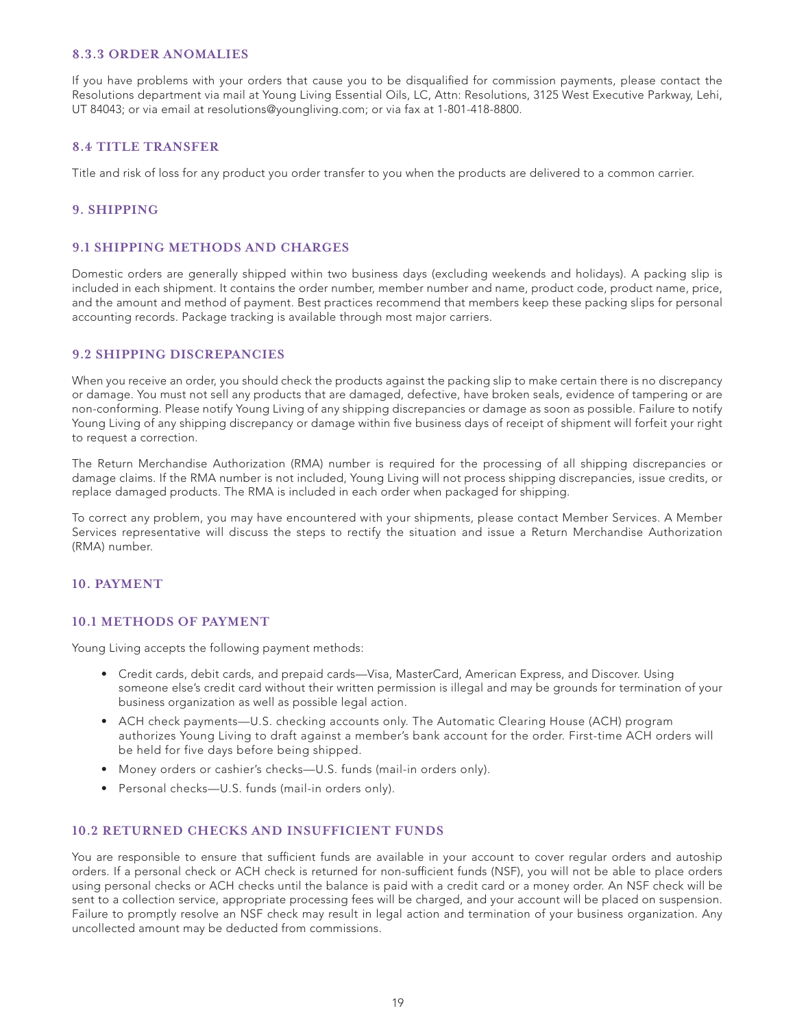#### **8.3.3 ORDER ANOMALIES**

If you have problems with your orders that cause you to be disqualified for commission payments, please contact the Resolutions department via mail at Young Living Essential Oils, LC, Attn: Resolutions, 3125 West Executive Parkway, Lehi, UT 84043; or via email at resolutions@youngliving.com; or via fax at 1-801-418-8800.

### **8.4 TITLE TRANSFER**

Title and risk of loss for any product you order transfer to you when the products are delivered to a common carrier.

# **9. SHIPPING**

#### **9.1 SHIPPING METHODS AND CHARGES**

Domestic orders are generally shipped within two business days (excluding weekends and holidays). A packing slip is included in each shipment. It contains the order number, member number and name, product code, product name, price, and the amount and method of payment. Best practices recommend that members keep these packing slips for personal accounting records. Package tracking is available through most major carriers.

### **9.2 SHIPPING DISCREPANCIES**

When you receive an order, you should check the products against the packing slip to make certain there is no discrepancy or damage. You must not sell any products that are damaged, defective, have broken seals, evidence of tampering or are non-conforming. Please notify Young Living of any shipping discrepancies or damage as soon as possible. Failure to notify Young Living of any shipping discrepancy or damage within five business days of receipt of shipment will forfeit your right to request a correction.

The Return Merchandise Authorization (RMA) number is required for the processing of all shipping discrepancies or damage claims. If the RMA number is not included, Young Living will not process shipping discrepancies, issue credits, or replace damaged products. The RMA is included in each order when packaged for shipping.

To correct any problem, you may have encountered with your shipments, please contact Member Services. A Member Services representative will discuss the steps to rectify the situation and issue a Return Merchandise Authorization (RMA) number.

#### **10. PAYMENT**

### **10.1 METHODS OF PAYMENT**

Young Living accepts the following payment methods:

- Credit cards, debit cards, and prepaid cards—Visa, MasterCard, American Express, and Discover. Using someone else's credit card without their written permission is illegal and may be grounds for termination of your business organization as well as possible legal action.
- ACH check payments—U.S. checking accounts only. The Automatic Clearing House (ACH) program authorizes Young Living to draft against a member's bank account for the order. First-time ACH orders will be held for five days before being shipped.
- Money orders or cashier's checks—U.S. funds (mail-in orders only).
- Personal checks—U.S. funds (mail-in orders only).

### **10.2 RETURNED CHECKS AND INSUFFICIENT FUNDS**

You are responsible to ensure that sufficient funds are available in your account to cover regular orders and autoship orders. If a personal check or ACH check is returned for non-sufficient funds (NSF), you will not be able to place orders using personal checks or ACH checks until the balance is paid with a credit card or a money order. An NSF check will be sent to a collection service, appropriate processing fees will be charged, and your account will be placed on suspension. Failure to promptly resolve an NSF check may result in legal action and termination of your business organization. Any uncollected amount may be deducted from commissions.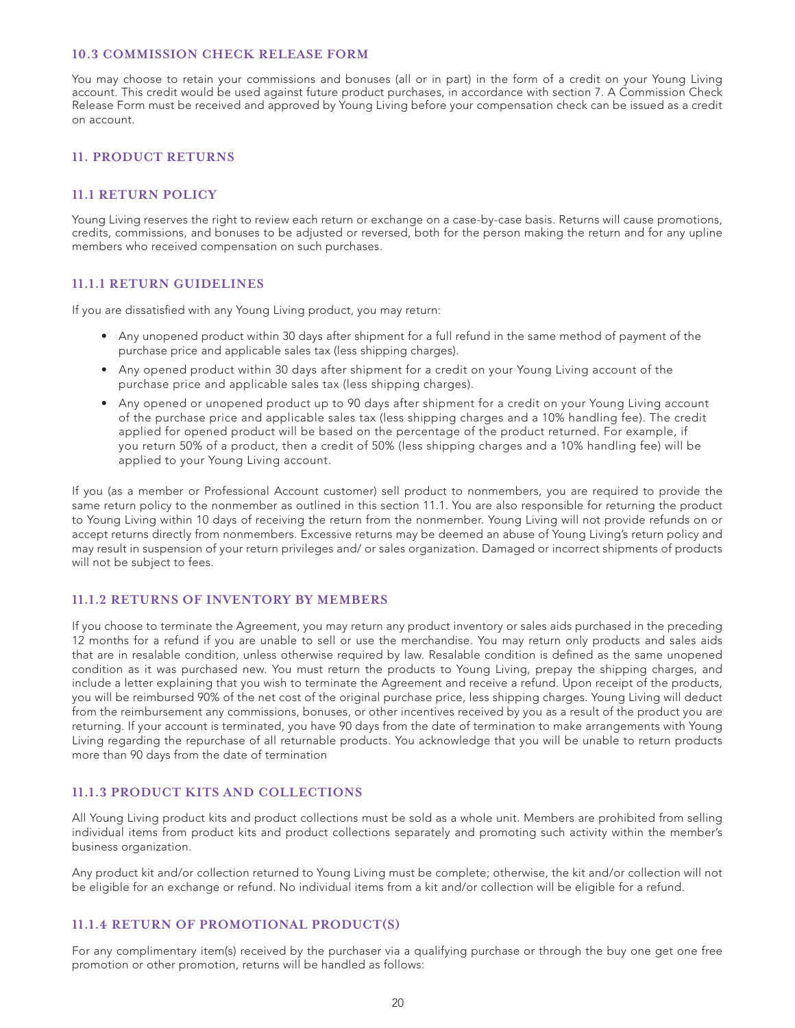#### **10.3 COMMISSION CHECK RELEASE FORM**

You may choose to retain your commissions and bonuses (all or in part) in the form of a credit on your Young Living account. This credit would be used against future product purchases, in accordance with section 7. A Commission Check Release Form must be received and approved by Young Living before your compensation check can be issued as a credit on account.

## **11. PRODUCT RETURNS**

#### **11.1 RETURN POLICY**

Young Living reserves the right to review each return or exchange on a case-by-case basis. Returns will cause promotions, credits, commissions, and bonuses to be adjusted or reversed, both for the person making the return and for any upline members who received compensation on such purchases.

#### **11.1.1 RETURN GUIDELINES**

If you are dissatisfied with any Young Living product, you may return:

- Any unopened product within 30 days after shipment for a full refund in the same method of payment of the purchase price and applicable sales tax (less shipping charges).
- Any opened product within 30 days after shipment for a credit on your Young Living account of the purchase price and applicable sales tax (less shipping charges).
- Any opened or unopened product up to 90 days after shipment for a credit on your Young Living account of the purchase price and applicable sales tax (less shipping charges and a 10% handling fee). The credit applied for opened product will be based on the percentage of the product returned. For example, if you return 50% of a product, then a credit of 50% (less shipping charges and a 10% handling fee) will be applied to your Young Living account.

If you (as a member or Professional Account customer) sell product to nonmembers, you are required to provide the same return policy to the nonmember as outlined in this section 11.1. You are also responsible for returning the product to Young Living within 10 days of receiving the return from the nonmember. Young Living will not provide refunds on or accept returns directly from nonmembers. Excessive returns may be deemed an abuse of Young Living's return policy and may result in suspension of your return privileges and/ or sales organization. Damaged or incorrect shipments of products will not be subject to fees.

### **11.1.2 RETURNS OF INVENTORY BY MEMBERS**

If you choose to terminate the Agreement, you may return any product inventory or sales aids purchased in the preceding 12 months for a refund if you are unable to sell or use the merchandise. You may return only products and sales aids that are in resalable condition, unless otherwise required by law. Resalable condition is defined as the same unopened condition as it was purchased new. You must return the products to Young Living, prepay the shipping charges, and include a letter explaining that you wish to terminate the Agreement and receive a refund. Upon receipt of the products, you will be reimbursed 90% of the net cost of the original purchase price, less shipping charges. Young Living will deduct from the reimbursement any commissions, bonuses, or other incentives received by you as a result of the product you are returning. If your account is terminated, you have 90 days from the date of termination to make arrangements with Young Living regarding the repurchase of all returnable products. You acknowledge that you will be unable to return products more than 90 days from the date of termination

### **11.1.3 PRODUCT KITS AND COLLECTIONS**

All Young Living product kits and product collections must be sold as a whole unit. Members are prohibited from selling individual items from product kits and product collections separately and promoting such activity within the member's business organization.

Any product kit and/or collection returned to Young Living must be complete; otherwise, the kit and/or collection will not be eligible for an exchange or refund. No individual items from a kit and/or collection will be eligible for a refund.

## **11.1.4 RETURN OF PROMOTIONAL PRODUCT(S)**

For any complimentary item(s) received by the purchaser via a qualifying purchase or through the buy one get one free promotion or other promotion, returns will be handled as follows: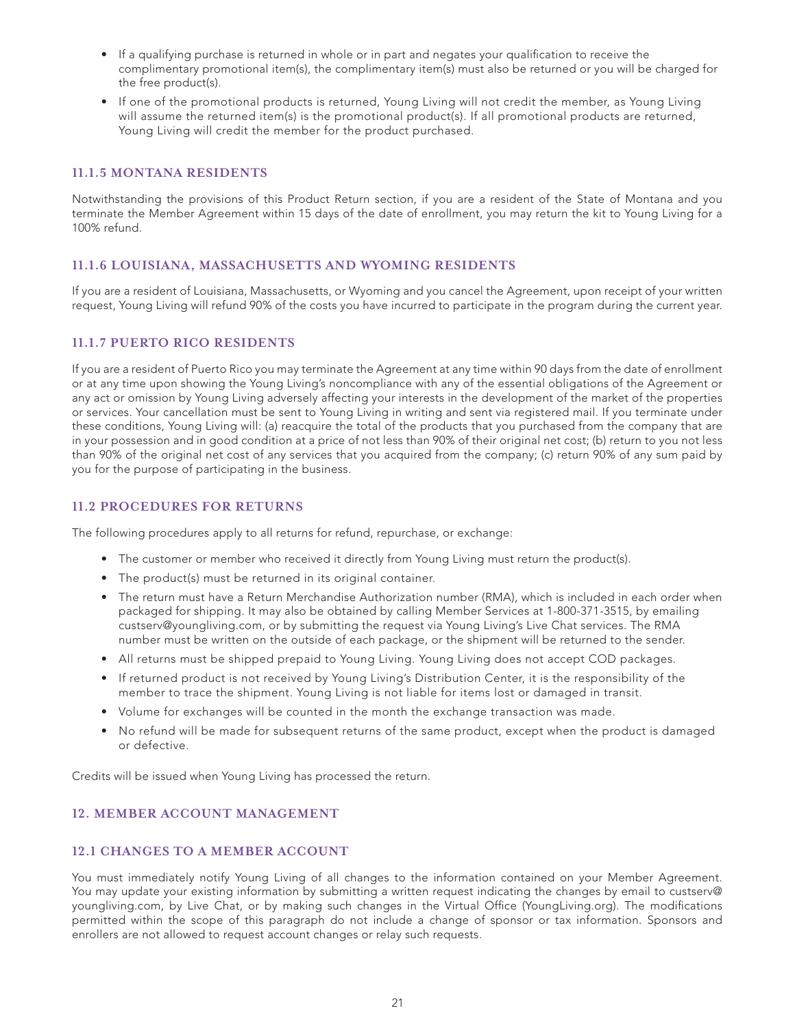- If a qualifying purchase is returned in whole or in part and negates your qualification to receive the complimentary promotional item(s), the complimentary item(s) must also be returned or you will be charged for the free product(s).
- If one of the promotional products is returned, Young Living will not credit the member, as Young Living will assume the returned item(s) is the promotional product(s). If all promotional products are returned, Young Living will credit the member for the product purchased.

# **11.1.5 MONTANA RESIDENTS**

Notwithstanding the provisions of this Product Return section, if you are a resident of the State of Montana and you terminate the Member Agreement within 15 days of the date of enrollment, you may return the kit to Young Living for a 100% refund.

# **11.1.6 LOUISIANA, MASSACHUSETTS AND WYOMING RESIDENTS**

If you are a resident of Louisiana, Massachusetts, or Wyoming and you cancel the Agreement, upon receipt of your written request, Young Living will refund 90% of the costs you have incurred to participate in the program during the current year.

# **11.1.7 PUERTO RICO RESIDENTS**

If you are a resident of Puerto Rico you may terminate the Agreement at any time within 90 days from the date of enrollment or at any time upon showing the Young Living's noncompliance with any of the essential obligations of the Agreement or any act or omission by Young Living adversely affecting your interests in the development of the market of the properties or services. Your cancellation must be sent to Young Living in writing and sent via registered mail. If you terminate under these conditions, Young Living will: (a) reacquire the total of the products that you purchased from the company that are in your possession and in good condition at a price of not less than 90% of their original net cost; (b) return to you not less than 90% of the original net cost of any services that you acquired from the company; (c) return 90% of any sum paid by you for the purpose of participating in the business.

# **11.2 PROCEDURES FOR RETURNS**

The following procedures apply to all returns for refund, repurchase, or exchange:

- The customer or member who received it directly from Young Living must return the product(s).
- The product(s) must be returned in its original container.
- The return must have a Return Merchandise Authorization number (RMA), which is included in each order when packaged for shipping. It may also be obtained by calling Member Services at 1-800-371-3515, by emailing custserv@youngliving.com, or by submitting the request via Young Living's Live Chat services. The RMA number must be written on the outside of each package, or the shipment will be returned to the sender.
- All returns must be shipped prepaid to Young Living. Young Living does not accept COD packages.
- If returned product is not received by Young Living's Distribution Center, it is the responsibility of the member to trace the shipment. Young Living is not liable for items lost or damaged in transit.
- Volume for exchanges will be counted in the month the exchange transaction was made.
- No refund will be made for subsequent returns of the same product, except when the product is damaged or defective.

Credits will be issued when Young Living has processed the return.

# **12. MEMBER ACCOUNT MANAGEMENT**

### **12.1 CHANGES TO A MEMBER ACCOUNT**

You must immediately notify Young Living of all changes to the information contained on your Member Agreement. You may update your existing information by submitting a written request indicating the changes by email to custserv@ youngliving.com, by Live Chat, or by making such changes in the Virtual Office (YoungLiving.org). The modifications permitted within the scope of this paragraph do not include a change of sponsor or tax information. Sponsors and enrollers are not allowed to request account changes or relay such requests.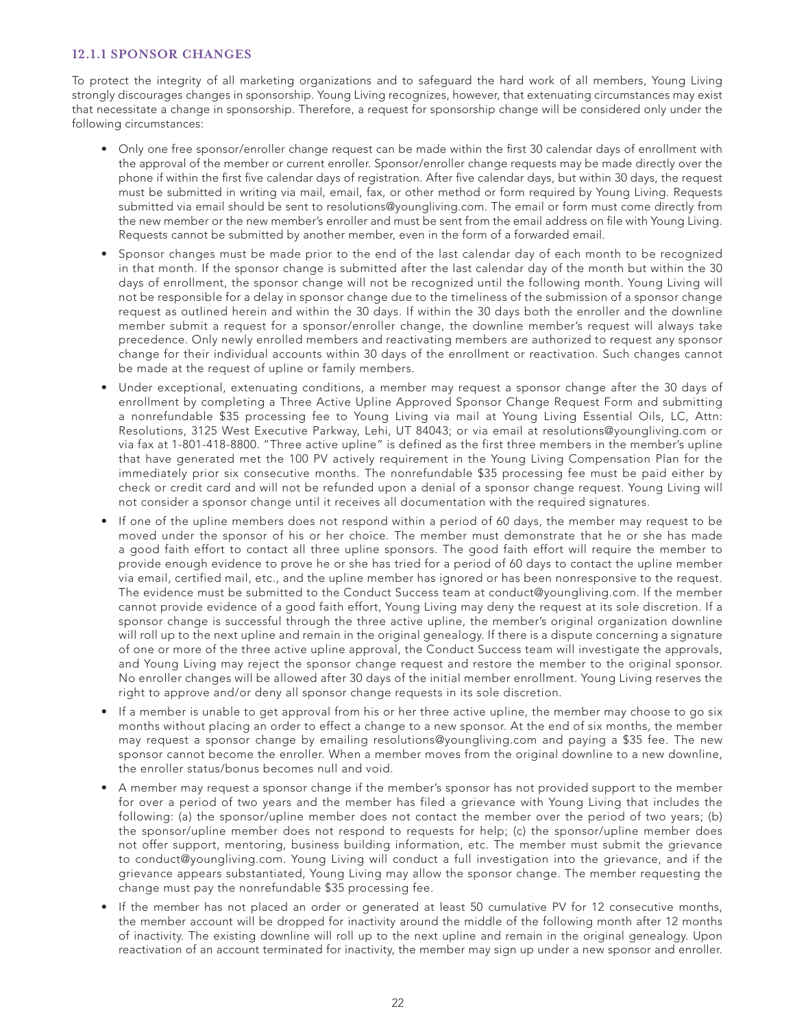# **12.1.1 SPONSOR CHANGES**

To protect the integrity of all marketing organizations and to safeguard the hard work of all members, Young Living strongly discourages changes in sponsorship. Young Living recognizes, however, that extenuating circumstances may exist that necessitate a change in sponsorship. Therefore, a request for sponsorship change will be considered only under the following circumstances:

- Only one free sponsor/enroller change request can be made within the first 30 calendar days of enrollment with the approval of the member or current enroller. Sponsor/enroller change requests may be made directly over the phone if within the first five calendar days of registration. After five calendar days, but within 30 days, the request must be submitted in writing via mail, email, fax, or other method or form required by Young Living. Requests submitted via email should be sent to resolutions@youngliving.com. The email or form must come directly from the new member or the new member's enroller and must be sent from the email address on file with Young Living. Requests cannot be submitted by another member, even in the form of a forwarded email.
- Sponsor changes must be made prior to the end of the last calendar day of each month to be recognized in that month. If the sponsor change is submitted after the last calendar day of the month but within the 30 days of enrollment, the sponsor change will not be recognized until the following month. Young Living will not be responsible for a delay in sponsor change due to the timeliness of the submission of a sponsor change request as outlined herein and within the 30 days. If within the 30 days both the enroller and the downline member submit a request for a sponsor/enroller change, the downline member's request will always take precedence. Only newly enrolled members and reactivating members are authorized to request any sponsor change for their individual accounts within 30 days of the enrollment or reactivation. Such changes cannot be made at the request of upline or family members.
- Under exceptional, extenuating conditions, a member may request a sponsor change after the 30 days of enrollment by completing a Three Active Upline Approved Sponsor Change Request Form and submitting a nonrefundable \$35 processing fee to Young Living via mail at Young Living Essential Oils, LC, Attn: Resolutions, 3125 West Executive Parkway, Lehi, UT 84043; or via email at resolutions@youngliving.com or via fax at 1-801-418-8800. "Three active upline" is defined as the first three members in the member's upline that have generated met the 100 PV actively requirement in the Young Living Compensation Plan for the immediately prior six consecutive months. The nonrefundable \$35 processing fee must be paid either by check or credit card and will not be refunded upon a denial of a sponsor change request. Young Living will not consider a sponsor change until it receives all documentation with the required signatures.
- If one of the upline members does not respond within a period of 60 days, the member may request to be moved under the sponsor of his or her choice. The member must demonstrate that he or she has made a good faith effort to contact all three upline sponsors. The good faith effort will require the member to provide enough evidence to prove he or she has tried for a period of 60 days to contact the upline member via email, certified mail, etc., and the upline member has ignored or has been nonresponsive to the request. The evidence must be submitted to the Conduct Success team at conduct@youngliving.com. If the member cannot provide evidence of a good faith effort, Young Living may deny the request at its sole discretion. If a sponsor change is successful through the three active upline, the member's original organization downline will roll up to the next upline and remain in the original genealogy. If there is a dispute concerning a signature of one or more of the three active upline approval, the Conduct Success team will investigate the approvals, and Young Living may reject the sponsor change request and restore the member to the original sponsor. No enroller changes will be allowed after 30 days of the initial member enrollment. Young Living reserves the right to approve and/or deny all sponsor change requests in its sole discretion.
- If a member is unable to get approval from his or her three active upline, the member may choose to go six months without placing an order to effect a change to a new sponsor. At the end of six months, the member may request a sponsor change by emailing resolutions@youngliving.com and paying a \$35 fee. The new sponsor cannot become the enroller. When a member moves from the original downline to a new downline, the enroller status/bonus becomes null and void.
- A member may request a sponsor change if the member's sponsor has not provided support to the member for over a period of two years and the member has filed a grievance with Young Living that includes the following: (a) the sponsor/upline member does not contact the member over the period of two years; (b) the sponsor/upline member does not respond to requests for help; (c) the sponsor/upline member does not offer support, mentoring, business building information, etc. The member must submit the grievance to conduct@youngliving.com. Young Living will conduct a full investigation into the grievance, and if the grievance appears substantiated, Young Living may allow the sponsor change. The member requesting the change must pay the nonrefundable \$35 processing fee.
- If the member has not placed an order or generated at least 50 cumulative PV for 12 consecutive months, the member account will be dropped for inactivity around the middle of the following month after 12 months of inactivity. The existing downline will roll up to the next upline and remain in the original genealogy. Upon reactivation of an account terminated for inactivity, the member may sign up under a new sponsor and enroller.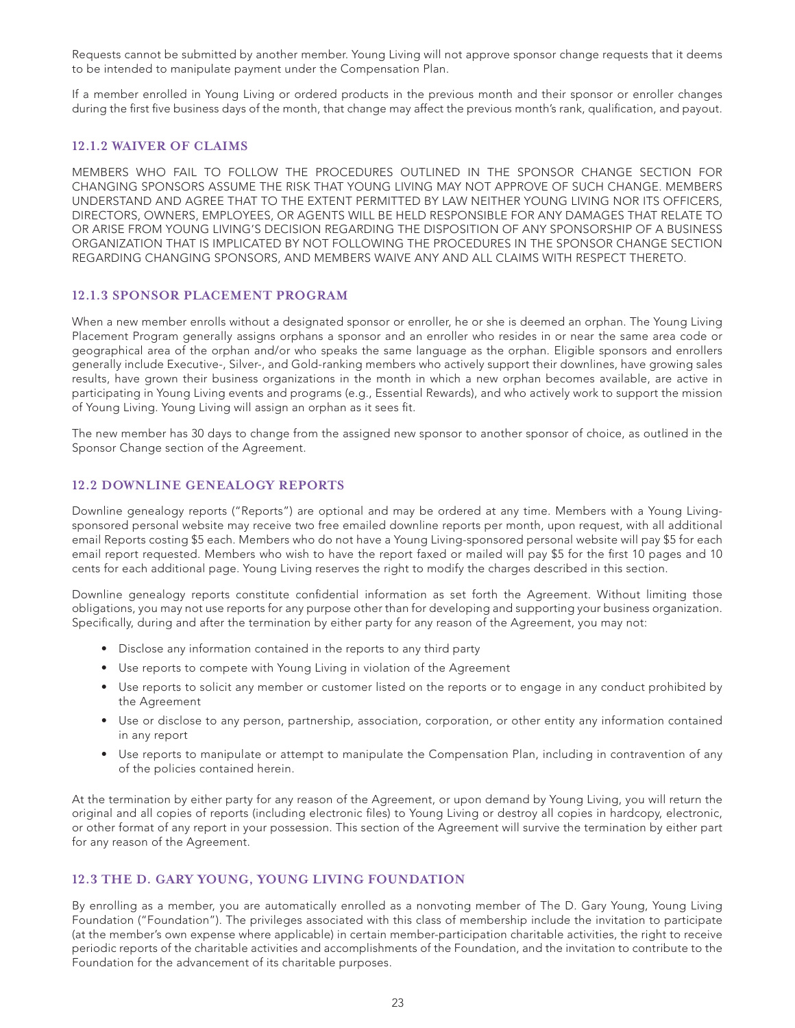Requests cannot be submitted by another member. Young Living will not approve sponsor change requests that it deems to be intended to manipulate payment under the Compensation Plan.

If a member enrolled in Young Living or ordered products in the previous month and their sponsor or enroller changes during the first five business days of the month, that change may affect the previous month's rank, qualification, and payout.

# **12.1.2 WAIVER OF CLAIMS**

MEMBERS WHO FAIL TO FOLLOW THE PROCEDURES OUTLINED IN THE SPONSOR CHANGE SECTION FOR CHANGING SPONSORS ASSUME THE RISK THAT YOUNG LIVING MAY NOT APPROVE OF SUCH CHANGE. MEMBERS UNDERSTAND AND AGREE THAT TO THE EXTENT PERMITTED BY LAW NEITHER YOUNG LIVING NOR ITS OFFICERS, DIRECTORS, OWNERS, EMPLOYEES, OR AGENTS WILL BE HELD RESPONSIBLE FOR ANY DAMAGES THAT RELATE TO OR ARISE FROM YOUNG LIVING'S DECISION REGARDING THE DISPOSITION OF ANY SPONSORSHIP OF A BUSINESS ORGANIZATION THAT IS IMPLICATED BY NOT FOLLOWING THE PROCEDURES IN THE SPONSOR CHANGE SECTION REGARDING CHANGING SPONSORS, AND MEMBERS WAIVE ANY AND ALL CLAIMS WITH RESPECT THERETO.

# **12.1.3 SPONSOR PLACEMENT PROGRAM**

When a new member enrolls without a designated sponsor or enroller, he or she is deemed an orphan. The Young Living Placement Program generally assigns orphans a sponsor and an enroller who resides in or near the same area code or geographical area of the orphan and/or who speaks the same language as the orphan. Eligible sponsors and enrollers generally include Executive-, Silver-, and Gold-ranking members who actively support their downlines, have growing sales results, have grown their business organizations in the month in which a new orphan becomes available, are active in participating in Young Living events and programs (e.g., Essential Rewards), and who actively work to support the mission of Young Living. Young Living will assign an orphan as it sees fit.

The new member has 30 days to change from the assigned new sponsor to another sponsor of choice, as outlined in the Sponsor Change section of the Agreement.

# **12.2 DOWNLINE GENEALOGY REPORTS**

Downline genealogy reports ("Reports") are optional and may be ordered at any time. Members with a Young Livingsponsored personal website may receive two free emailed downline reports per month, upon request, with all additional email Reports costing \$5 each. Members who do not have a Young Living-sponsored personal website will pay \$5 for each email report requested. Members who wish to have the report faxed or mailed will pay \$5 for the first 10 pages and 10 cents for each additional page. Young Living reserves the right to modify the charges described in this section.

Downline genealogy reports constitute confidential information as set forth the Agreement. Without limiting those obligations, you may not use reports for any purpose other than for developing and supporting your business organization. Specifically, during and after the termination by either party for any reason of the Agreement, you may not:

- Disclose any information contained in the reports to any third party
- Use reports to compete with Young Living in violation of the Agreement
- Use reports to solicit any member or customer listed on the reports or to engage in any conduct prohibited by the Agreement
- Use or disclose to any person, partnership, association, corporation, or other entity any information contained in any report
- Use reports to manipulate or attempt to manipulate the Compensation Plan, including in contravention of any of the policies contained herein.

At the termination by either party for any reason of the Agreement, or upon demand by Young Living, you will return the original and all copies of reports (including electronic files) to Young Living or destroy all copies in hardcopy, electronic, or other format of any report in your possession. This section of the Agreement will survive the termination by either part for any reason of the Agreement.

## **12.3 THE D. GARY YOUNG, YOUNG LIVING FOUNDATION**

By enrolling as a member, you are automatically enrolled as a nonvoting member of The D. Gary Young, Young Living Foundation ("Foundation"). The privileges associated with this class of membership include the invitation to participate (at the member's own expense where applicable) in certain member-participation charitable activities, the right to receive periodic reports of the charitable activities and accomplishments of the Foundation, and the invitation to contribute to the Foundation for the advancement of its charitable purposes.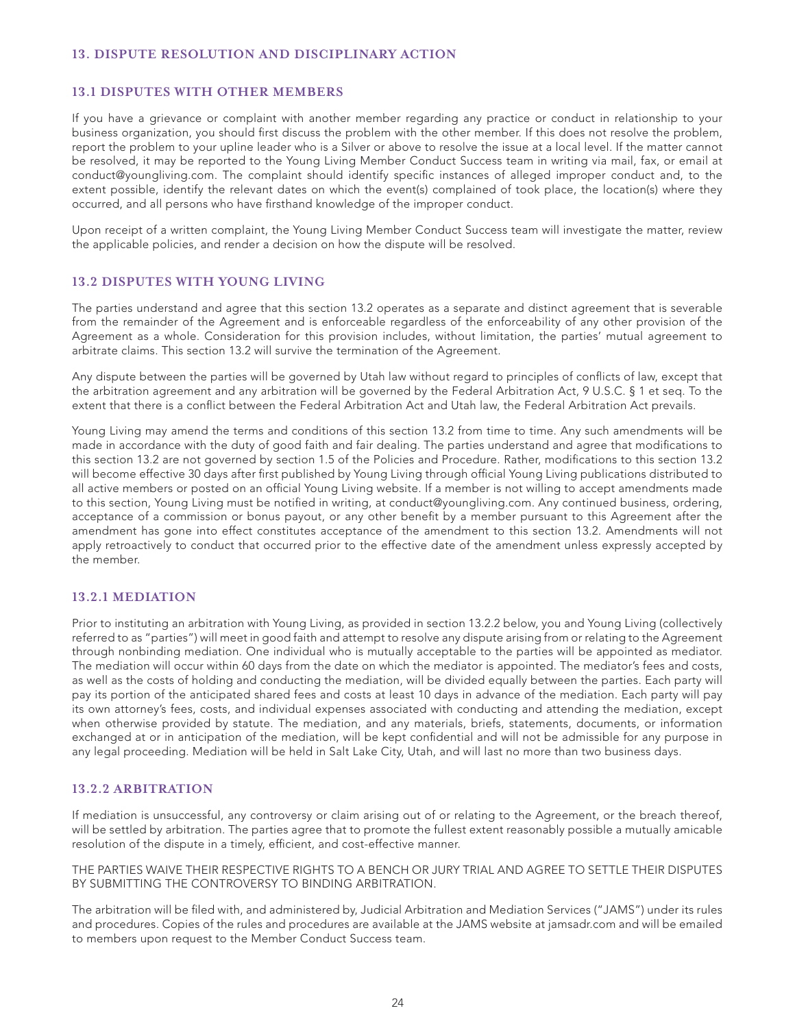# **13. DISPUTE RESOLUTION AND DISCIPLINARY ACTION**

#### **13.1 DISPUTES WITH OTHER MEMBERS**

If you have a grievance or complaint with another member regarding any practice or conduct in relationship to your business organization, you should first discuss the problem with the other member. If this does not resolve the problem, report the problem to your upline leader who is a Silver or above to resolve the issue at a local level. If the matter cannot be resolved, it may be reported to the Young Living Member Conduct Success team in writing via mail, fax, or email at conduct@youngliving.com. The complaint should identify specific instances of alleged improper conduct and, to the extent possible, identify the relevant dates on which the event(s) complained of took place, the location(s) where they occurred, and all persons who have firsthand knowledge of the improper conduct.

Upon receipt of a written complaint, the Young Living Member Conduct Success team will investigate the matter, review the applicable policies, and render a decision on how the dispute will be resolved.

### **13.2 DISPUTES WITH YOUNG LIVING**

The parties understand and agree that this section 13.2 operates as a separate and distinct agreement that is severable from the remainder of the Agreement and is enforceable regardless of the enforceability of any other provision of the Agreement as a whole. Consideration for this provision includes, without limitation, the parties' mutual agreement to arbitrate claims. This section 13.2 will survive the termination of the Agreement.

Any dispute between the parties will be governed by Utah law without regard to principles of conflicts of law, except that the arbitration agreement and any arbitration will be governed by the Federal Arbitration Act, 9 U.S.C. § 1 et seq. To the extent that there is a conflict between the Federal Arbitration Act and Utah law, the Federal Arbitration Act prevails.

Young Living may amend the terms and conditions of this section 13.2 from time to time. Any such amendments will be made in accordance with the duty of good faith and fair dealing. The parties understand and agree that modifications to this section 13.2 are not governed by section 1.5 of the Policies and Procedure. Rather, modifications to this section 13.2 will become effective 30 days after first published by Young Living through official Young Living publications distributed to all active members or posted on an official Young Living website. If a member is not willing to accept amendments made to this section, Young Living must be notified in writing, at conduct@youngliving.com. Any continued business, ordering, acceptance of a commission or bonus payout, or any other benefit by a member pursuant to this Agreement after the amendment has gone into effect constitutes acceptance of the amendment to this section 13.2. Amendments will not apply retroactively to conduct that occurred prior to the effective date of the amendment unless expressly accepted by the member.

### **13.2.1 MEDIATION**

Prior to instituting an arbitration with Young Living, as provided in section 13.2.2 below, you and Young Living (collectively referred to as "parties") will meet in good faith and attempt to resolve any dispute arising from or relating to the Agreement through nonbinding mediation. One individual who is mutually acceptable to the parties will be appointed as mediator. The mediation will occur within 60 days from the date on which the mediator is appointed. The mediator's fees and costs, as well as the costs of holding and conducting the mediation, will be divided equally between the parties. Each party will pay its portion of the anticipated shared fees and costs at least 10 days in advance of the mediation. Each party will pay its own attorney's fees, costs, and individual expenses associated with conducting and attending the mediation, except when otherwise provided by statute. The mediation, and any materials, briefs, statements, documents, or information exchanged at or in anticipation of the mediation, will be kept confidential and will not be admissible for any purpose in any legal proceeding. Mediation will be held in Salt Lake City, Utah, and will last no more than two business days.

#### **13.2.2 ARBITRATION**

If mediation is unsuccessful, any controversy or claim arising out of or relating to the Agreement, or the breach thereof, will be settled by arbitration. The parties agree that to promote the fullest extent reasonably possible a mutually amicable resolution of the dispute in a timely, efficient, and cost-effective manner.

THE PARTIES WAIVE THEIR RESPECTIVE RIGHTS TO A BENCH OR JURY TRIAL AND AGREE TO SETTLE THEIR DISPUTES BY SUBMITTING THE CONTROVERSY TO BINDING ARBITRATION.

The arbitration will be filed with, and administered by, Judicial Arbitration and Mediation Services ("JAMS") under its rules and procedures. Copies of the rules and procedures are available at the JAMS website at jamsadr.com and will be emailed to members upon request to the Member Conduct Success team.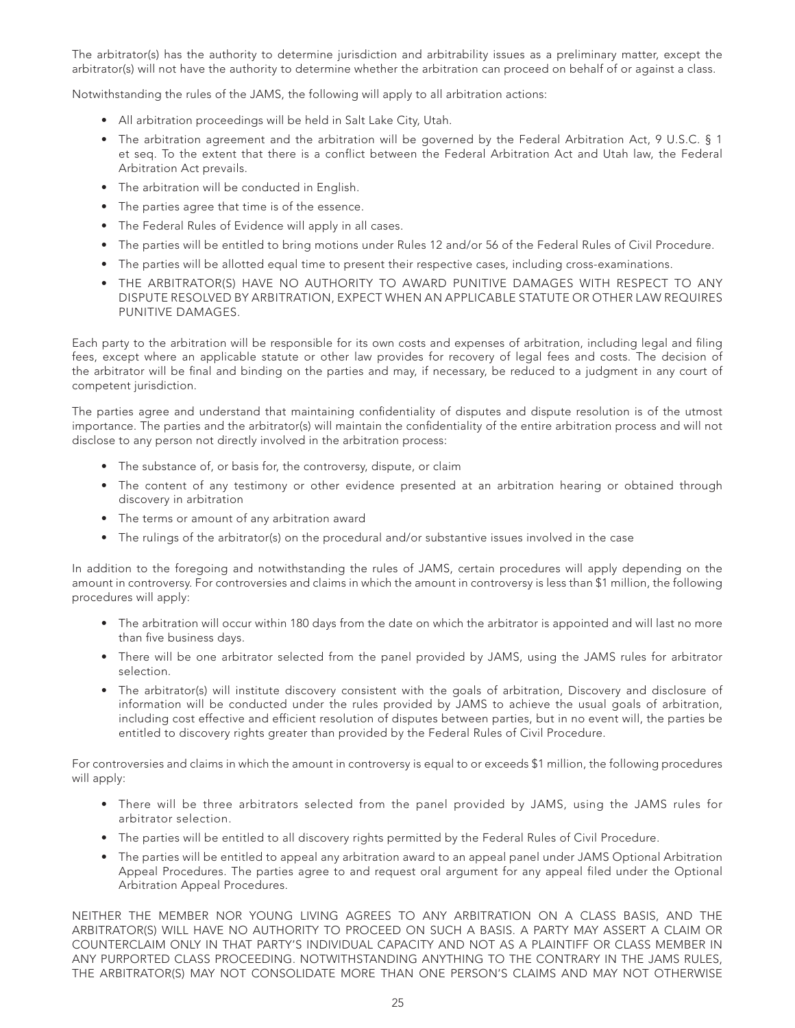The arbitrator(s) has the authority to determine jurisdiction and arbitrability issues as a preliminary matter, except the arbitrator(s) will not have the authority to determine whether the arbitration can proceed on behalf of or against a class.

Notwithstanding the rules of the JAMS, the following will apply to all arbitration actions:

- All arbitration proceedings will be held in Salt Lake City, Utah.
- The arbitration agreement and the arbitration will be governed by the Federal Arbitration Act, 9 U.S.C. § 1 et seq. To the extent that there is a conflict between the Federal Arbitration Act and Utah law, the Federal Arbitration Act prevails.
- The arbitration will be conducted in English.
- The parties agree that time is of the essence.
- The Federal Rules of Evidence will apply in all cases.
- The parties will be entitled to bring motions under Rules 12 and/or 56 of the Federal Rules of Civil Procedure.
- The parties will be allotted equal time to present their respective cases, including cross-examinations.
- THE ARBITRATOR(S) HAVE NO AUTHORITY TO AWARD PUNITIVE DAMAGES WITH RESPECT TO ANY DISPUTE RESOLVED BY ARBITRATION, EXPECT WHEN AN APPLICABLE STATUTE OR OTHER LAW REQUIRES PUNITIVE DAMAGES.

Each party to the arbitration will be responsible for its own costs and expenses of arbitration, including legal and filing fees, except where an applicable statute or other law provides for recovery of legal fees and costs. The decision of the arbitrator will be final and binding on the parties and may, if necessary, be reduced to a judgment in any court of competent jurisdiction.

The parties agree and understand that maintaining confidentiality of disputes and dispute resolution is of the utmost importance. The parties and the arbitrator(s) will maintain the confidentiality of the entire arbitration process and will not disclose to any person not directly involved in the arbitration process:

- The substance of, or basis for, the controversy, dispute, or claim
- The content of any testimony or other evidence presented at an arbitration hearing or obtained through discovery in arbitration
- The terms or amount of any arbitration award
- The rulings of the arbitrator(s) on the procedural and/or substantive issues involved in the case

In addition to the foregoing and notwithstanding the rules of JAMS, certain procedures will apply depending on the amount in controversy. For controversies and claims in which the amount in controversy is less than \$1 million, the following procedures will apply:

- The arbitration will occur within 180 days from the date on which the arbitrator is appointed and will last no more than five business days.
- There will be one arbitrator selected from the panel provided by JAMS, using the JAMS rules for arbitrator selection.
- The arbitrator(s) will institute discovery consistent with the goals of arbitration, Discovery and disclosure of information will be conducted under the rules provided by JAMS to achieve the usual goals of arbitration, including cost effective and efficient resolution of disputes between parties, but in no event will, the parties be entitled to discovery rights greater than provided by the Federal Rules of Civil Procedure.

For controversies and claims in which the amount in controversy is equal to or exceeds \$1 million, the following procedures will apply:

- There will be three arbitrators selected from the panel provided by JAMS, using the JAMS rules for arbitrator selection.
- The parties will be entitled to all discovery rights permitted by the Federal Rules of Civil Procedure.
- The parties will be entitled to appeal any arbitration award to an appeal panel under JAMS Optional Arbitration Appeal Procedures. The parties agree to and request oral argument for any appeal filed under the Optional Arbitration Appeal Procedures.

NEITHER THE MEMBER NOR YOUNG LIVING AGREES TO ANY ARBITRATION ON A CLASS BASIS, AND THE ARBITRATOR(S) WILL HAVE NO AUTHORITY TO PROCEED ON SUCH A BASIS. A PARTY MAY ASSERT A CLAIM OR COUNTERCLAIM ONLY IN THAT PARTY'S INDIVIDUAL CAPACITY AND NOT AS A PLAINTIFF OR CLASS MEMBER IN ANY PURPORTED CLASS PROCEEDING. NOTWITHSTANDING ANYTHING TO THE CONTRARY IN THE JAMS RULES, THE ARBITRATOR(S) MAY NOT CONSOLIDATE MORE THAN ONE PERSON'S CLAIMS AND MAY NOT OTHERWISE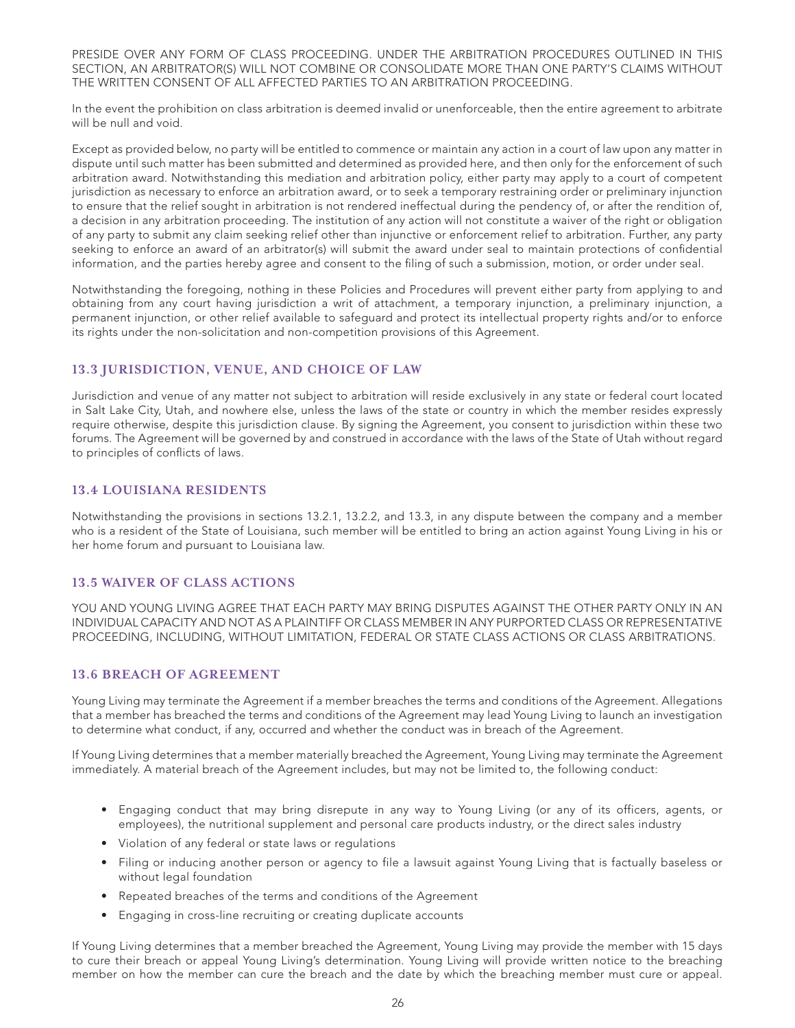PRESIDE OVER ANY FORM OF CLASS PROCEEDING. UNDER THE ARBITRATION PROCEDURES OUTLINED IN THIS SECTION, AN ARBITRATOR(S) WILL NOT COMBINE OR CONSOLIDATE MORE THAN ONE PARTY'S CLAIMS WITHOUT THE WRITTEN CONSENT OF ALL AFFECTED PARTIES TO AN ARBITRATION PROCEEDING.

In the event the prohibition on class arbitration is deemed invalid or unenforceable, then the entire agreement to arbitrate will be null and void.

Except as provided below, no party will be entitled to commence or maintain any action in a court of law upon any matter in dispute until such matter has been submitted and determined as provided here, and then only for the enforcement of such arbitration award. Notwithstanding this mediation and arbitration policy, either party may apply to a court of competent jurisdiction as necessary to enforce an arbitration award, or to seek a temporary restraining order or preliminary injunction to ensure that the relief sought in arbitration is not rendered ineffectual during the pendency of, or after the rendition of, a decision in any arbitration proceeding. The institution of any action will not constitute a waiver of the right or obligation of any party to submit any claim seeking relief other than injunctive or enforcement relief to arbitration. Further, any party seeking to enforce an award of an arbitrator(s) will submit the award under seal to maintain protections of confidential information, and the parties hereby agree and consent to the filing of such a submission, motion, or order under seal.

Notwithstanding the foregoing, nothing in these Policies and Procedures will prevent either party from applying to and obtaining from any court having jurisdiction a writ of attachment, a temporary injunction, a preliminary injunction, a permanent injunction, or other relief available to safeguard and protect its intellectual property rights and/or to enforce its rights under the non-solicitation and non-competition provisions of this Agreement.

# **13.3 JURISDICTION, VENUE, AND CHOICE OF LAW**

Jurisdiction and venue of any matter not subject to arbitration will reside exclusively in any state or federal court located in Salt Lake City, Utah, and nowhere else, unless the laws of the state or country in which the member resides expressly require otherwise, despite this jurisdiction clause. By signing the Agreement, you consent to jurisdiction within these two forums. The Agreement will be governed by and construed in accordance with the laws of the State of Utah without regard to principles of conflicts of laws.

### **13.4 LOUISIANA RESIDENTS**

Notwithstanding the provisions in sections 13.2.1, 13.2.2, and 13.3, in any dispute between the company and a member who is a resident of the State of Louisiana, such member will be entitled to bring an action against Young Living in his or her home forum and pursuant to Louisiana law.

### **13.5 WAIVER OF CLASS ACTIONS**

YOU AND YOUNG LIVING AGREE THAT EACH PARTY MAY BRING DISPUTES AGAINST THE OTHER PARTY ONLY IN AN INDIVIDUAL CAPACITY AND NOT AS A PLAINTIFF OR CLASS MEMBER IN ANY PURPORTED CLASS OR REPRESENTATIVE PROCEEDING, INCLUDING, WITHOUT LIMITATION, FEDERAL OR STATE CLASS ACTIONS OR CLASS ARBITRATIONS.

# **13.6 BREACH OF AGREEMENT**

Young Living may terminate the Agreement if a member breaches the terms and conditions of the Agreement. Allegations that a member has breached the terms and conditions of the Agreement may lead Young Living to launch an investigation to determine what conduct, if any, occurred and whether the conduct was in breach of the Agreement.

If Young Living determines that a member materially breached the Agreement, Young Living may terminate the Agreement immediately. A material breach of the Agreement includes, but may not be limited to, the following conduct:

- Engaging conduct that may bring disrepute in any way to Young Living (or any of its officers, agents, or employees), the nutritional supplement and personal care products industry, or the direct sales industry
- Violation of any federal or state laws or regulations
- Filing or inducing another person or agency to file a lawsuit against Young Living that is factually baseless or without legal foundation
- Repeated breaches of the terms and conditions of the Agreement
- Engaging in cross-line recruiting or creating duplicate accounts

If Young Living determines that a member breached the Agreement, Young Living may provide the member with 15 days to cure their breach or appeal Young Living's determination. Young Living will provide written notice to the breaching member on how the member can cure the breach and the date by which the breaching member must cure or appeal.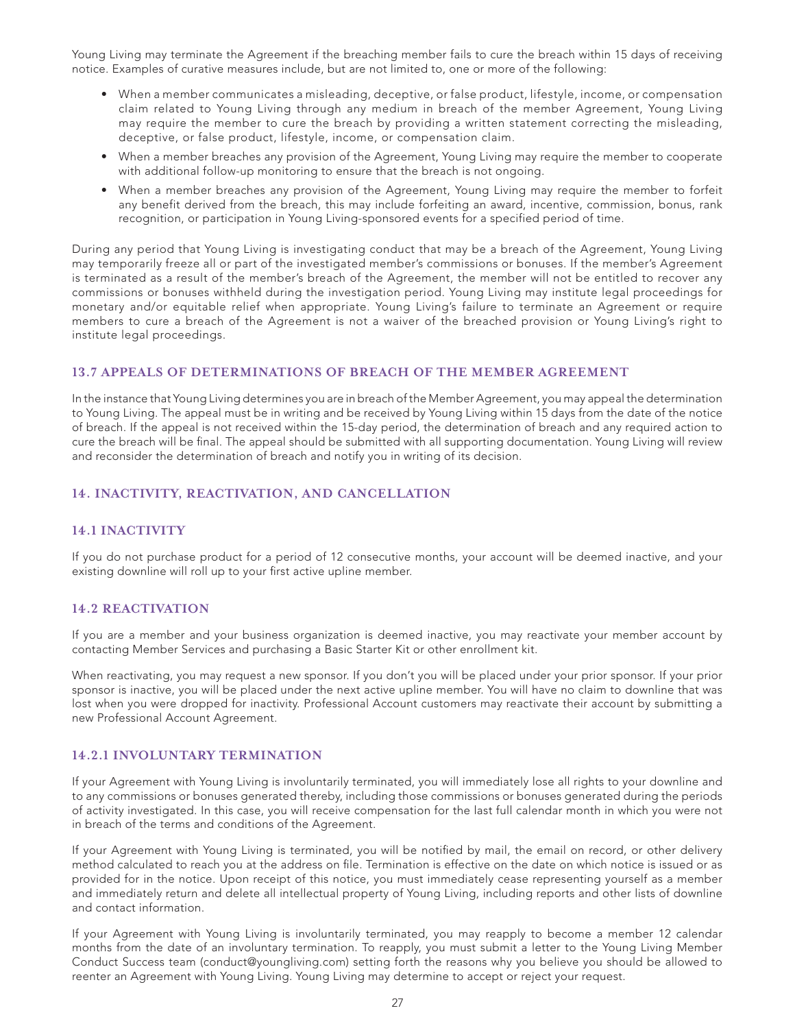Young Living may terminate the Agreement if the breaching member fails to cure the breach within 15 days of receiving notice. Examples of curative measures include, but are not limited to, one or more of the following:

- When a member communicates a misleading, deceptive, or false product, lifestyle, income, or compensation claim related to Young Living through any medium in breach of the member Agreement, Young Living may require the member to cure the breach by providing a written statement correcting the misleading, deceptive, or false product, lifestyle, income, or compensation claim.
- When a member breaches any provision of the Agreement, Young Living may require the member to cooperate with additional follow-up monitoring to ensure that the breach is not ongoing.
- When a member breaches any provision of the Agreement, Young Living may require the member to forfeit any benefit derived from the breach, this may include forfeiting an award, incentive, commission, bonus, rank recognition, or participation in Young Living-sponsored events for a specified period of time.

During any period that Young Living is investigating conduct that may be a breach of the Agreement, Young Living may temporarily freeze all or part of the investigated member's commissions or bonuses. If the member's Agreement is terminated as a result of the member's breach of the Agreement, the member will not be entitled to recover any commissions or bonuses withheld during the investigation period. Young Living may institute legal proceedings for monetary and/or equitable relief when appropriate. Young Living's failure to terminate an Agreement or require members to cure a breach of the Agreement is not a waiver of the breached provision or Young Living's right to institute legal proceedings.

# **13.7 APPEALS OF DETERMINATIONS OF BREACH OF THE MEMBER AGREEMENT**

In the instance that Young Living determines you are in breach of the Member Agreement, you may appeal the determination to Young Living. The appeal must be in writing and be received by Young Living within 15 days from the date of the notice of breach. If the appeal is not received within the 15-day period, the determination of breach and any required action to cure the breach will be final. The appeal should be submitted with all supporting documentation. Young Living will review and reconsider the determination of breach and notify you in writing of its decision.

# **14. INACTIVITY, REACTIVATION, AND CANCELLATION**

### **14.1 INACTIVITY**

If you do not purchase product for a period of 12 consecutive months, your account will be deemed inactive, and your existing downline will roll up to your first active upline member.

### **14.2 REACTIVATION**

If you are a member and your business organization is deemed inactive, you may reactivate your member account by contacting Member Services and purchasing a Basic Starter Kit or other enrollment kit.

When reactivating, you may request a new sponsor. If you don't you will be placed under your prior sponsor. If your prior sponsor is inactive, you will be placed under the next active upline member. You will have no claim to downline that was lost when you were dropped for inactivity. Professional Account customers may reactivate their account by submitting a new Professional Account Agreement.

#### **14.2.1 INVOLUNTARY TERMINATION**

If your Agreement with Young Living is involuntarily terminated, you will immediately lose all rights to your downline and to any commissions or bonuses generated thereby, including those commissions or bonuses generated during the periods of activity investigated. In this case, you will receive compensation for the last full calendar month in which you were not in breach of the terms and conditions of the Agreement.

If your Agreement with Young Living is terminated, you will be notified by mail, the email on record, or other delivery method calculated to reach you at the address on file. Termination is effective on the date on which notice is issued or as provided for in the notice. Upon receipt of this notice, you must immediately cease representing yourself as a member and immediately return and delete all intellectual property of Young Living, including reports and other lists of downline and contact information.

If your Agreement with Young Living is involuntarily terminated, you may reapply to become a member 12 calendar months from the date of an involuntary termination. To reapply, you must submit a letter to the Young Living Member Conduct Success team (conduct@youngliving.com) setting forth the reasons why you believe you should be allowed to reenter an Agreement with Young Living. Young Living may determine to accept or reject your request.